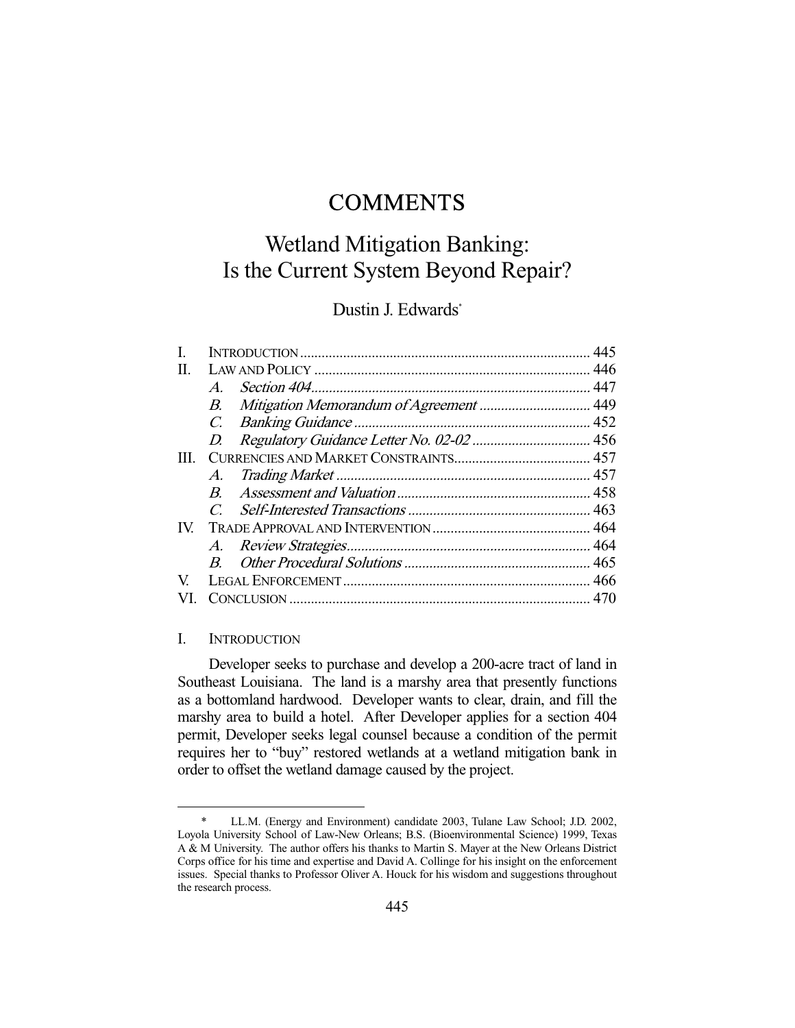# **COMMENTS**

# Wetland Mitigation Banking: Is the Current System Beyond Repair?

# Dustin J. Edwards\*

| П.   |                 |  |  |
|------|-----------------|--|--|
|      | $\mathcal{A}$   |  |  |
|      | В.              |  |  |
|      | $\mathcal{C}$ . |  |  |
|      | D.              |  |  |
| III. |                 |  |  |
|      | A.              |  |  |
|      |                 |  |  |
|      |                 |  |  |
| IV.  |                 |  |  |
|      |                 |  |  |
|      | B               |  |  |
| V    |                 |  |  |
|      |                 |  |  |
|      |                 |  |  |

#### I. INTRODUCTION

-

 Developer seeks to purchase and develop a 200-acre tract of land in Southeast Louisiana. The land is a marshy area that presently functions as a bottomland hardwood. Developer wants to clear, drain, and fill the marshy area to build a hotel. After Developer applies for a section 404 permit, Developer seeks legal counsel because a condition of the permit requires her to "buy" restored wetlands at a wetland mitigation bank in order to offset the wetland damage caused by the project.

 <sup>\*</sup> LL.M. (Energy and Environment) candidate 2003, Tulane Law School; J.D. 2002, Loyola University School of Law-New Orleans; B.S. (Bioenvironmental Science) 1999, Texas A & M University. The author offers his thanks to Martin S. Mayer at the New Orleans District Corps office for his time and expertise and David A. Collinge for his insight on the enforcement issues. Special thanks to Professor Oliver A. Houck for his wisdom and suggestions throughout the research process.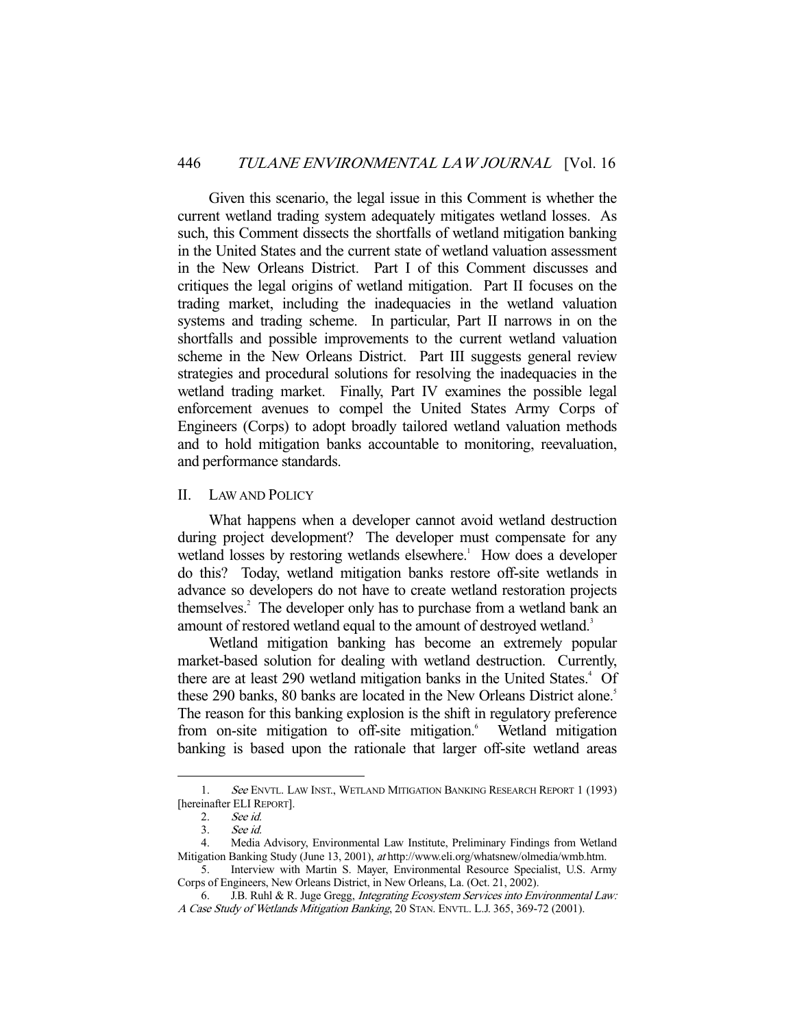Given this scenario, the legal issue in this Comment is whether the current wetland trading system adequately mitigates wetland losses. As such, this Comment dissects the shortfalls of wetland mitigation banking in the United States and the current state of wetland valuation assessment in the New Orleans District. Part I of this Comment discusses and critiques the legal origins of wetland mitigation. Part II focuses on the trading market, including the inadequacies in the wetland valuation systems and trading scheme. In particular, Part II narrows in on the shortfalls and possible improvements to the current wetland valuation scheme in the New Orleans District. Part III suggests general review strategies and procedural solutions for resolving the inadequacies in the wetland trading market. Finally, Part IV examines the possible legal enforcement avenues to compel the United States Army Corps of Engineers (Corps) to adopt broadly tailored wetland valuation methods and to hold mitigation banks accountable to monitoring, reevaluation, and performance standards.

#### II. LAW AND POLICY

 What happens when a developer cannot avoid wetland destruction during project development? The developer must compensate for any wetland losses by restoring wetlands elsewhere.<sup>1</sup> How does a developer do this? Today, wetland mitigation banks restore off-site wetlands in advance so developers do not have to create wetland restoration projects themselves.<sup>2</sup> The developer only has to purchase from a wetland bank an amount of restored wetland equal to the amount of destroyed wetland.<sup>3</sup>

 Wetland mitigation banking has become an extremely popular market-based solution for dealing with wetland destruction. Currently, there are at least 290 wetland mitigation banks in the United States.<sup>4</sup> Of these 290 banks, 80 banks are located in the New Orleans District alone.<sup>5</sup> The reason for this banking explosion is the shift in regulatory preference from on-site mitigation to off-site mitigation.<sup>6</sup> Wetland mitigation banking is based upon the rationale that larger off-site wetland areas

<sup>1.</sup> See ENVTL. LAW INST., WETLAND MITIGATION BANKING RESEARCH REPORT 1 (1993) [hereinafter ELI REPORT].

 <sup>2.</sup> See id.

 <sup>3.</sup> See id.

 <sup>4.</sup> Media Advisory, Environmental Law Institute, Preliminary Findings from Wetland Mitigation Banking Study (June 13, 2001), at http://www.eli.org/whatsnew/olmedia/wmb.htm.

 <sup>5.</sup> Interview with Martin S. Mayer, Environmental Resource Specialist, U.S. Army Corps of Engineers, New Orleans District, in New Orleans, La. (Oct. 21, 2002).

 <sup>6.</sup> J.B. Ruhl & R. Juge Gregg, Integrating Ecosystem Services into Environmental Law: A Case Study of Wetlands Mitigation Banking, 20 STAN. ENVTL. L.J. 365, 369-72 (2001).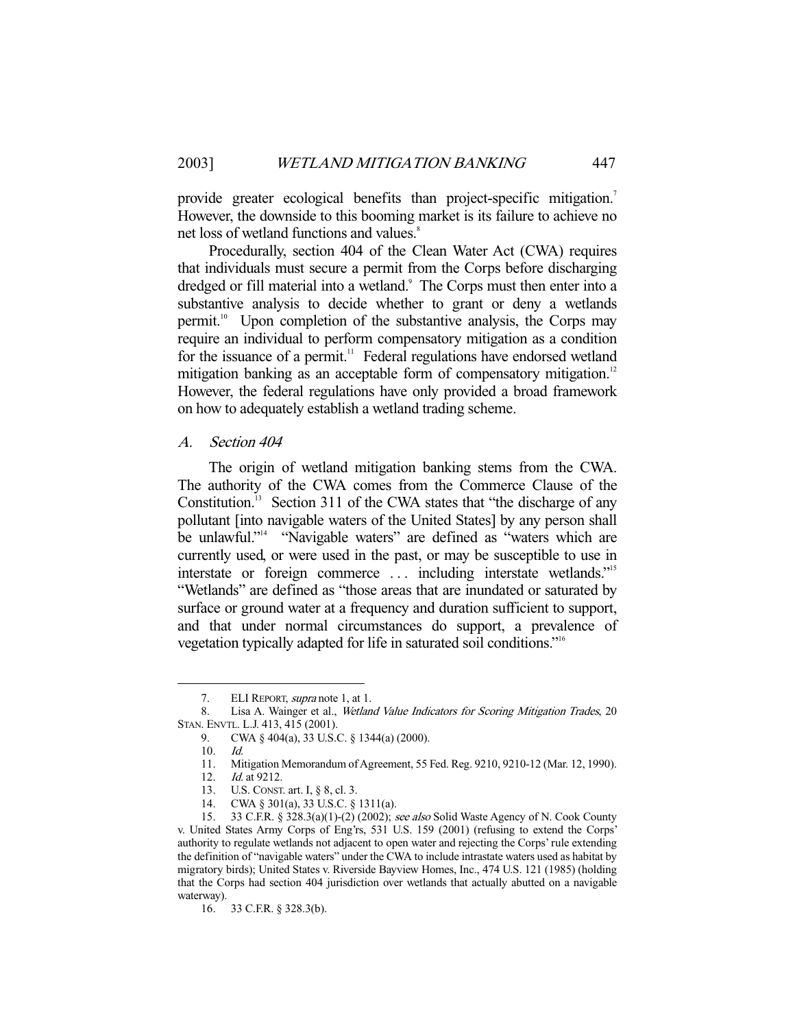provide greater ecological benefits than project-specific mitigation.<sup>7</sup> However, the downside to this booming market is its failure to achieve no net loss of wetland functions and values.<sup>8</sup>

 Procedurally, section 404 of the Clean Water Act (CWA) requires that individuals must secure a permit from the Corps before discharging dredged or fill material into a wetland.<sup>9</sup> The Corps must then enter into a substantive analysis to decide whether to grant or deny a wetlands permit.<sup>10</sup> Upon completion of the substantive analysis, the Corps may require an individual to perform compensatory mitigation as a condition for the issuance of a permit.<sup>11</sup> Federal regulations have endorsed wetland mitigation banking as an acceptable form of compensatory mitigation.<sup>12</sup> However, the federal regulations have only provided a broad framework on how to adequately establish a wetland trading scheme.

## A. Section 404

 The origin of wetland mitigation banking stems from the CWA. The authority of the CWA comes from the Commerce Clause of the Constitution.<sup>13</sup> Section 311 of the CWA states that "the discharge of any pollutant [into navigable waters of the United States] by any person shall be unlawful."<sup>14</sup> "Navigable waters" are defined as "waters which are currently used, or were used in the past, or may be susceptible to use in interstate or foreign commerce ... including interstate wetlands."<sup>15</sup> "Wetlands" are defined as "those areas that are inundated or saturated by surface or ground water at a frequency and duration sufficient to support, and that under normal circumstances do support, a prevalence of vegetation typically adapted for life in saturated soil conditions."16

<sup>7.</sup> ELI REPORT, *supra* note 1, at 1.

 <sup>8.</sup> Lisa A. Wainger et al., Wetland Value Indicators for Scoring Mitigation Trades, 20 STAN. ENVTL. L.J. 413, 415 (2001).

 <sup>9.</sup> CWA § 404(a), 33 U.S.C. § 1344(a) (2000).

 <sup>10.</sup> Id.

 <sup>11.</sup> Mitigation Memorandum of Agreement, 55 Fed. Reg. 9210, 9210-12 (Mar. 12, 1990).

<sup>12.</sup> *Id.* at 9212.

 <sup>13.</sup> U.S. CONST. art. I, § 8, cl. 3.

 <sup>14.</sup> CWA § 301(a), 33 U.S.C. § 1311(a).

 <sup>15. 33</sup> C.F.R. § 328.3(a)(1)-(2) (2002); see also Solid Waste Agency of N. Cook County v. United States Army Corps of Eng'rs, 531 U.S. 159 (2001) (refusing to extend the Corps' authority to regulate wetlands not adjacent to open water and rejecting the Corps' rule extending the definition of "navigable waters" under the CWA to include intrastate waters used as habitat by migratory birds); United States v. Riverside Bayview Homes, Inc., 474 U.S. 121 (1985) (holding that the Corps had section 404 jurisdiction over wetlands that actually abutted on a navigable waterway).

 <sup>16. 33</sup> C.F.R. § 328.3(b).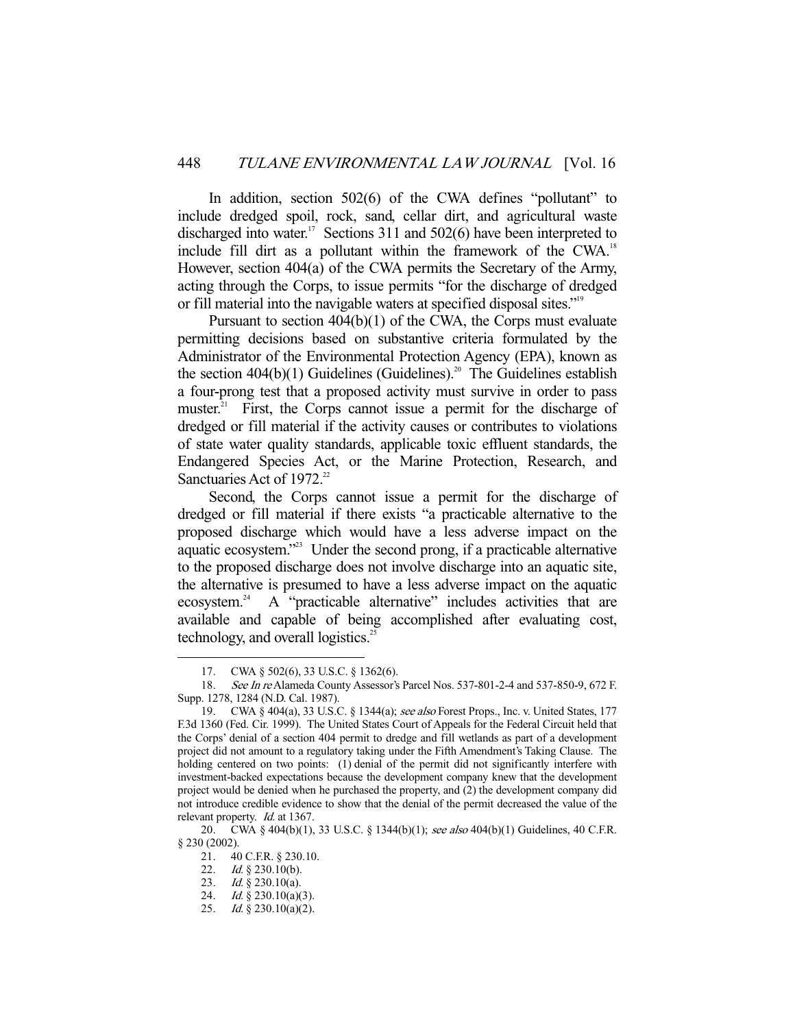In addition, section 502(6) of the CWA defines "pollutant" to include dredged spoil, rock, sand, cellar dirt, and agricultural waste discharged into water.<sup>17</sup> Sections 311 and 502(6) have been interpreted to include fill dirt as a pollutant within the framework of the CWA.<sup>18</sup> However, section 404(a) of the CWA permits the Secretary of the Army, acting through the Corps, to issue permits "for the discharge of dredged or fill material into the navigable waters at specified disposal sites."19

 Pursuant to section 404(b)(1) of the CWA, the Corps must evaluate permitting decisions based on substantive criteria formulated by the Administrator of the Environmental Protection Agency (EPA), known as the section  $404(b)(1)$  Guidelines (Guidelines).<sup>20</sup> The Guidelines establish a four-prong test that a proposed activity must survive in order to pass muster.<sup>21</sup> First, the Corps cannot issue a permit for the discharge of dredged or fill material if the activity causes or contributes to violations of state water quality standards, applicable toxic effluent standards, the Endangered Species Act, or the Marine Protection, Research, and Sanctuaries Act of 1972.<sup>22</sup>

 Second, the Corps cannot issue a permit for the discharge of dredged or fill material if there exists "a practicable alternative to the proposed discharge which would have a less adverse impact on the aquatic ecosystem."23 Under the second prong, if a practicable alternative to the proposed discharge does not involve discharge into an aquatic site, the alternative is presumed to have a less adverse impact on the aquatic ecosystem.<sup>24</sup> A "practicable alternative" includes activities that are available and capable of being accomplished after evaluating cost, technology, and overall logistics.<sup>25</sup>

<sup>17.</sup> CWA § 502(6), 33 U.S.C. § 1362(6).

<sup>18.</sup> See In re Alameda County Assessor's Parcel Nos. 537-801-2-4 and 537-850-9, 672 F. Supp. 1278, 1284 (N.D. Cal. 1987).

<sup>19.</sup> CWA § 404(a), 33 U.S.C. § 1344(a); see also Forest Props., Inc. v. United States, 177 F.3d 1360 (Fed. Cir. 1999). The United States Court of Appeals for the Federal Circuit held that the Corps' denial of a section 404 permit to dredge and fill wetlands as part of a development project did not amount to a regulatory taking under the Fifth Amendment's Taking Clause. The holding centered on two points: (1) denial of the permit did not significantly interfere with investment-backed expectations because the development company knew that the development project would be denied when he purchased the property, and (2) the development company did not introduce credible evidence to show that the denial of the permit decreased the value of the relevant property. *Id.* at 1367.

<sup>20.</sup> CWA § 404(b)(1), 33 U.S.C. § 1344(b)(1); see also 404(b)(1) Guidelines, 40 C.F.R. § 230 (2002).

 <sup>21. 40</sup> C.F.R. § 230.10.

<sup>22.</sup> Id.  $\S$  230.10(b).

<sup>23.</sup> *Id.*  $\frac{8}{9}$  230.10(a).

<sup>24.</sup> *Id.*  $\frac{8}{9}$  230.10(a)(3).

 <sup>25.</sup> Id. § 230.10(a)(2).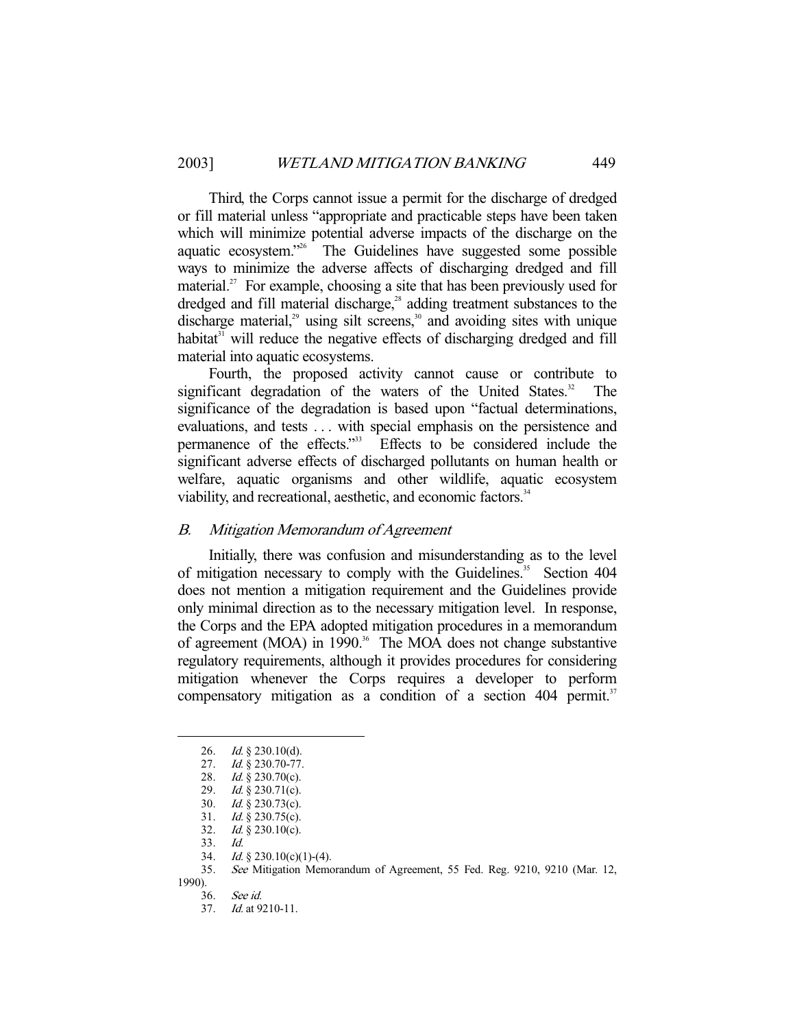Third, the Corps cannot issue a permit for the discharge of dredged or fill material unless "appropriate and practicable steps have been taken which will minimize potential adverse impacts of the discharge on the aquatic ecosystem."26 The Guidelines have suggested some possible ways to minimize the adverse affects of discharging dredged and fill material.<sup>27</sup> For example, choosing a site that has been previously used for dredged and fill material discharge,<sup>28</sup> adding treatment substances to the discharge material, $29$  using silt screens, $30$  and avoiding sites with unique habitat $31$  will reduce the negative effects of discharging dredged and fill material into aquatic ecosystems.

 Fourth, the proposed activity cannot cause or contribute to significant degradation of the waters of the United States.<sup>32</sup> The significance of the degradation is based upon "factual determinations, evaluations, and tests . . . with special emphasis on the persistence and permanence of the effects."<sup>33</sup> Effects to be considered include the significant adverse effects of discharged pollutants on human health or welfare, aquatic organisms and other wildlife, aquatic ecosystem viability, and recreational, aesthetic, and economic factors.<sup>34</sup>

# B. Mitigation Memorandum of Agreement

 Initially, there was confusion and misunderstanding as to the level of mitigation necessary to comply with the Guidelines.<sup>35</sup> Section 404 does not mention a mitigation requirement and the Guidelines provide only minimal direction as to the necessary mitigation level. In response, the Corps and the EPA adopted mitigation procedures in a memorandum of agreement (MOA) in 1990.<sup>36</sup> The MOA does not change substantive regulatory requirements, although it provides procedures for considering mitigation whenever the Corps requires a developer to perform compensatory mitigation as a condition of a section  $404$  permit.<sup>37</sup>

1990).

 <sup>26.</sup> Id. § 230.10(d).

 <sup>27.</sup> Id. § 230.70-77.

 <sup>28.</sup> Id. § 230.70(c).

 <sup>29.</sup> Id. § 230.71(c).

 <sup>30.</sup> Id. § 230.73(c).

 <sup>31.</sup> Id. § 230.75(c).

 <sup>32.</sup> Id. § 230.10(c).

 <sup>33.</sup> Id.

<sup>34.</sup> *Id.* § 230.10(c)(1)-(4).

 <sup>35.</sup> See Mitigation Memorandum of Agreement, 55 Fed. Reg. 9210, 9210 (Mar. 12,

 <sup>36.</sup> See id.

 <sup>37.</sup> Id. at 9210-11.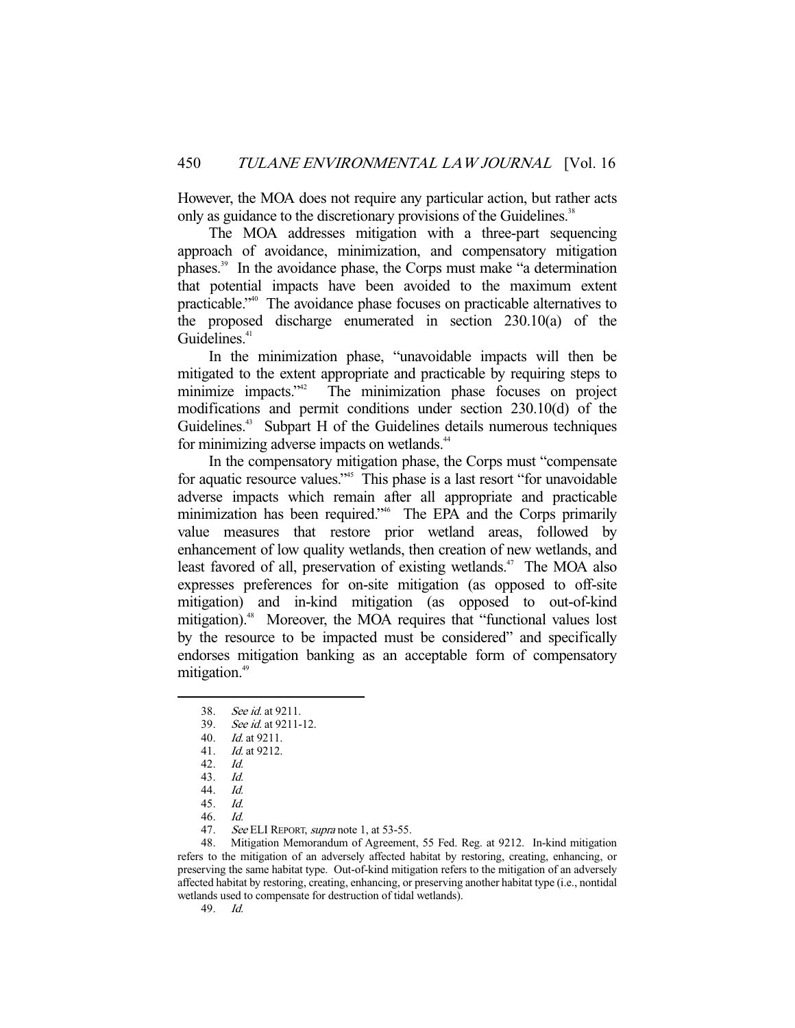However, the MOA does not require any particular action, but rather acts only as guidance to the discretionary provisions of the Guidelines.<sup>38</sup>

 The MOA addresses mitigation with a three-part sequencing approach of avoidance, minimization, and compensatory mitigation phases.39 In the avoidance phase, the Corps must make "a determination that potential impacts have been avoided to the maximum extent practicable."40 The avoidance phase focuses on practicable alternatives to the proposed discharge enumerated in section 230.10(a) of the Guidelines.<sup>41</sup>

 In the minimization phase, "unavoidable impacts will then be mitigated to the extent appropriate and practicable by requiring steps to minimize impacts."<sup>42</sup> The minimization phase focuses on project modifications and permit conditions under section 230.10(d) of the Guidelines.<sup>43</sup> Subpart H of the Guidelines details numerous techniques for minimizing adverse impacts on wetlands.<sup>44</sup>

 In the compensatory mitigation phase, the Corps must "compensate for aquatic resource values."45 This phase is a last resort "for unavoidable adverse impacts which remain after all appropriate and practicable minimization has been required."46 The EPA and the Corps primarily value measures that restore prior wetland areas, followed by enhancement of low quality wetlands, then creation of new wetlands, and least favored of all, preservation of existing wetlands.<sup>47</sup> The MOA also expresses preferences for on-site mitigation (as opposed to off-site mitigation) and in-kind mitigation (as opposed to out-of-kind mitigation).<sup>48</sup> Moreover, the MOA requires that "functional values lost by the resource to be impacted must be considered" and specifically endorses mitigation banking as an acceptable form of compensatory mitigation.<sup>49</sup>

-

 48. Mitigation Memorandum of Agreement, 55 Fed. Reg. at 9212. In-kind mitigation refers to the mitigation of an adversely affected habitat by restoring, creating, enhancing, or preserving the same habitat type. Out-of-kind mitigation refers to the mitigation of an adversely affected habitat by restoring, creating, enhancing, or preserving another habitat type (i.e., nontidal wetlands used to compensate for destruction of tidal wetlands).

49. Id.

<sup>38.</sup> *See id.* at 9211.

 <sup>39.</sup> See id. at 9211-12.

 <sup>40.</sup> Id. at 9211.

 <sup>41.</sup> Id. at 9212.

 <sup>42.</sup> Id.

 <sup>43.</sup> Id.

 <sup>44.</sup> Id.

 <sup>45.</sup> Id.

 <sup>46.</sup> Id.

<sup>47.</sup> See ELI REPORT, supra note 1, at 53-55.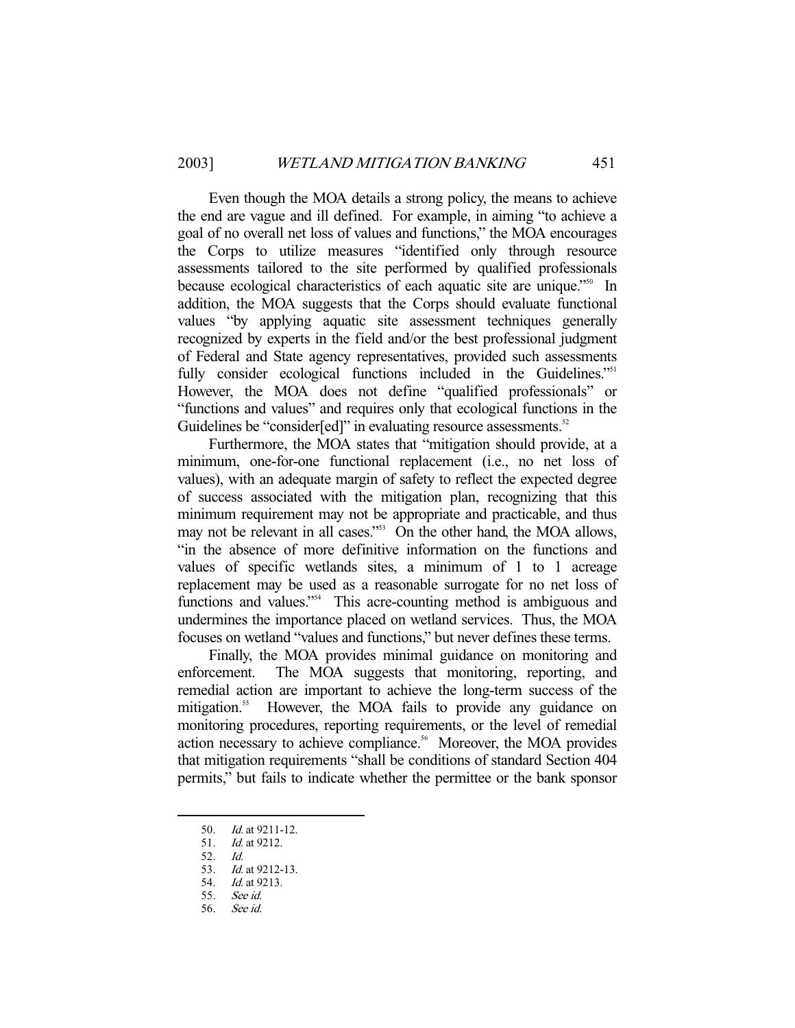Even though the MOA details a strong policy, the means to achieve the end are vague and ill defined. For example, in aiming "to achieve a goal of no overall net loss of values and functions," the MOA encourages the Corps to utilize measures "identified only through resource assessments tailored to the site performed by qualified professionals because ecological characteristics of each aquatic site are unique.<sup>"50</sup> In addition, the MOA suggests that the Corps should evaluate functional values "by applying aquatic site assessment techniques generally recognized by experts in the field and/or the best professional judgment of Federal and State agency representatives, provided such assessments fully consider ecological functions included in the Guidelines."<sup>51</sup> However, the MOA does not define "qualified professionals" or "functions and values" and requires only that ecological functions in the Guidelines be "consider[ed]" in evaluating resource assessments.<sup>52</sup>

 Furthermore, the MOA states that "mitigation should provide, at a minimum, one-for-one functional replacement (i.e., no net loss of values), with an adequate margin of safety to reflect the expected degree of success associated with the mitigation plan, recognizing that this minimum requirement may not be appropriate and practicable, and thus may not be relevant in all cases."<sup>53</sup> On the other hand, the MOA allows, "in the absence of more definitive information on the functions and values of specific wetlands sites, a minimum of 1 to 1 acreage replacement may be used as a reasonable surrogate for no net loss of functions and values."<sup>54</sup> This acre-counting method is ambiguous and undermines the importance placed on wetland services. Thus, the MOA focuses on wetland "values and functions," but never defines these terms.

 Finally, the MOA provides minimal guidance on monitoring and enforcement. The MOA suggests that monitoring, reporting, and remedial action are important to achieve the long-term success of the mitigation.<sup>55</sup> However, the MOA fails to provide any guidance on monitoring procedures, reporting requirements, or the level of remedial action necessary to achieve compliance.<sup>56</sup> Moreover, the MOA provides that mitigation requirements "shall be conditions of standard Section 404 permits," but fails to indicate whether the permittee or the bank sponsor

52. Id.

 <sup>50.</sup> Id. at 9211-12.

 <sup>51.</sup> Id. at 9212.

 <sup>53.</sup> Id. at 9212-13.

 <sup>54.</sup> Id. at 9213.

 <sup>55.</sup> See id.

 <sup>56.</sup> See id.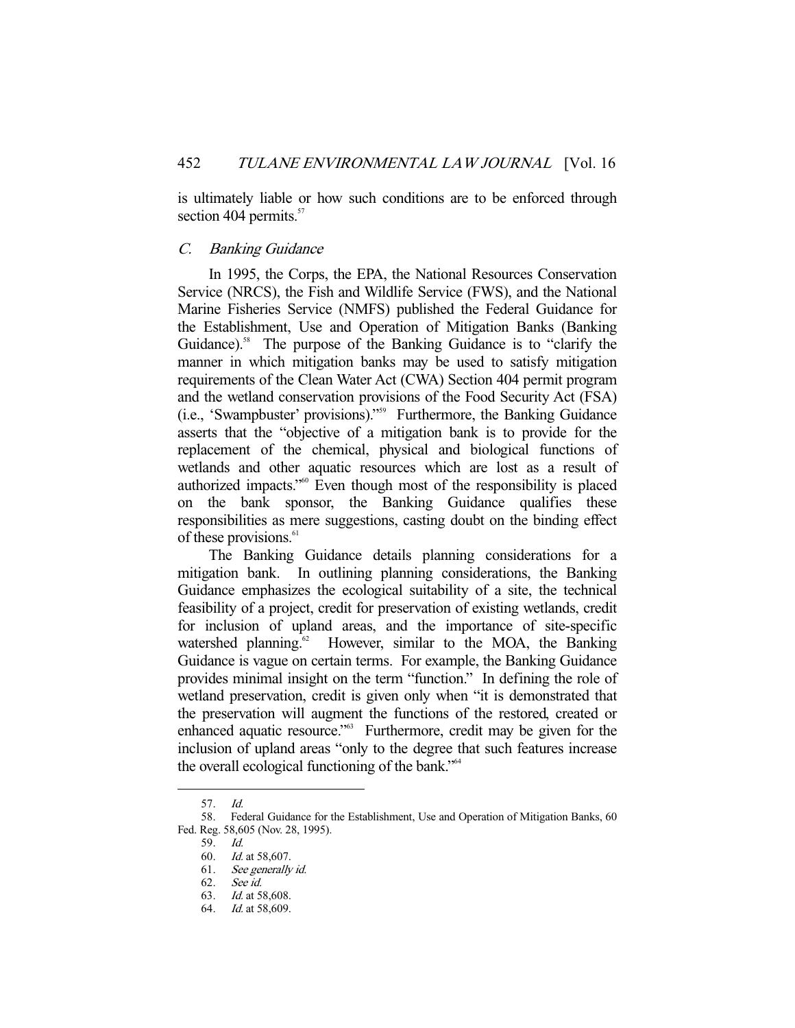is ultimately liable or how such conditions are to be enforced through section 404 permits. $57$ 

#### C. Banking Guidance

 In 1995, the Corps, the EPA, the National Resources Conservation Service (NRCS), the Fish and Wildlife Service (FWS), and the National Marine Fisheries Service (NMFS) published the Federal Guidance for the Establishment, Use and Operation of Mitigation Banks (Banking Guidance).<sup>58</sup> The purpose of the Banking Guidance is to "clarify the manner in which mitigation banks may be used to satisfy mitigation requirements of the Clean Water Act (CWA) Section 404 permit program and the wetland conservation provisions of the Food Security Act (FSA) (i.e., 'Swampbuster' provisions)."59 Furthermore, the Banking Guidance asserts that the "objective of a mitigation bank is to provide for the replacement of the chemical, physical and biological functions of wetlands and other aquatic resources which are lost as a result of authorized impacts."60 Even though most of the responsibility is placed on the bank sponsor, the Banking Guidance qualifies these responsibilities as mere suggestions, casting doubt on the binding effect of these provisions.<sup>61</sup>

 The Banking Guidance details planning considerations for a mitigation bank. In outlining planning considerations, the Banking Guidance emphasizes the ecological suitability of a site, the technical feasibility of a project, credit for preservation of existing wetlands, credit for inclusion of upland areas, and the importance of site-specific watershed planning.<sup>62</sup> However, similar to the MOA, the Banking Guidance is vague on certain terms. For example, the Banking Guidance provides minimal insight on the term "function." In defining the role of wetland preservation, credit is given only when "it is demonstrated that the preservation will augment the functions of the restored, created or enhanced aquatic resource."<sup>63</sup> Furthermore, credit may be given for the inclusion of upland areas "only to the degree that such features increase the overall ecological functioning of the bank."<sup>64</sup>

 <sup>57.</sup> Id.

 <sup>58.</sup> Federal Guidance for the Establishment, Use and Operation of Mitigation Banks, 60 Fed. Reg. 58,605 (Nov. 28, 1995).

 <sup>59.</sup> Id.

 <sup>60.</sup> Id. at 58,607.

 <sup>61.</sup> See generally id.

 <sup>62.</sup> See id.

 <sup>63.</sup> Id. at 58,608.

 <sup>64.</sup> Id. at 58,609.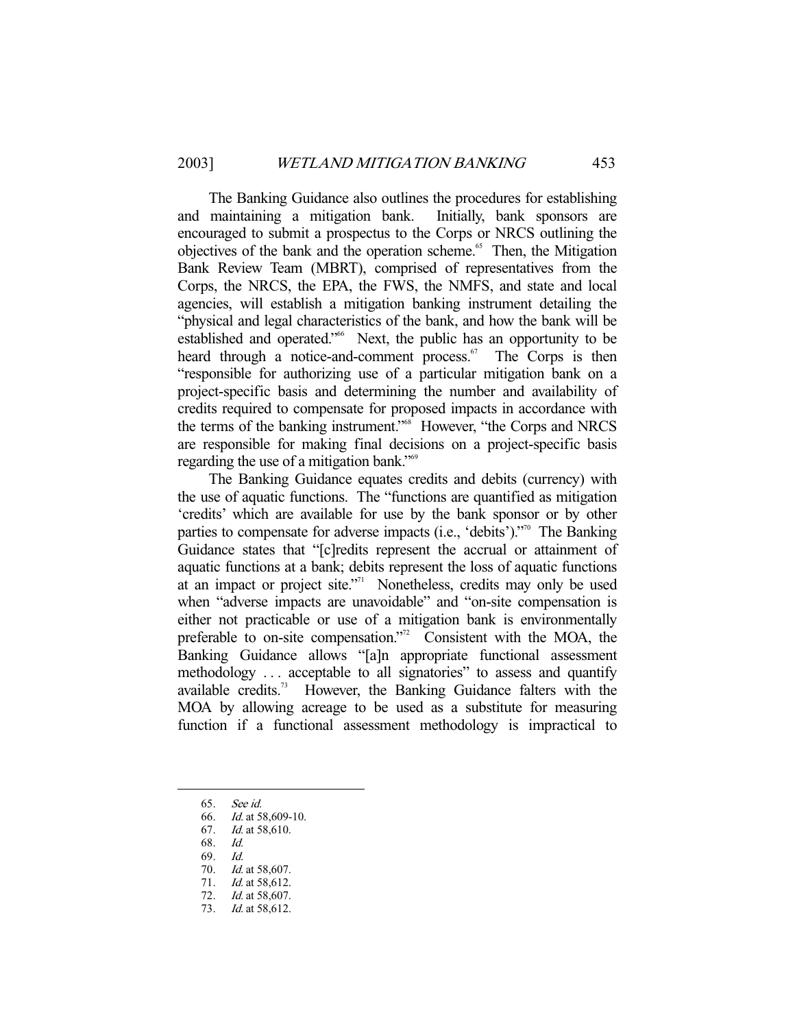The Banking Guidance also outlines the procedures for establishing and maintaining a mitigation bank. Initially, bank sponsors are encouraged to submit a prospectus to the Corps or NRCS outlining the objectives of the bank and the operation scheme.<sup>65</sup> Then, the Mitigation Bank Review Team (MBRT), comprised of representatives from the Corps, the NRCS, the EPA, the FWS, the NMFS, and state and local agencies, will establish a mitigation banking instrument detailing the "physical and legal characteristics of the bank, and how the bank will be established and operated."66 Next, the public has an opportunity to be heard through a notice-and-comment process.<sup>67</sup> The Corps is then "responsible for authorizing use of a particular mitigation bank on a project-specific basis and determining the number and availability of credits required to compensate for proposed impacts in accordance with the terms of the banking instrument."<sup>68</sup> However, "the Corps and NRCS are responsible for making final decisions on a project-specific basis regarding the use of a mitigation bank."<sup>69</sup>

 The Banking Guidance equates credits and debits (currency) with the use of aquatic functions. The "functions are quantified as mitigation 'credits' which are available for use by the bank sponsor or by other parties to compensate for adverse impacts (i.e., 'debits')."<sup>70</sup> The Banking Guidance states that "[c]redits represent the accrual or attainment of aquatic functions at a bank; debits represent the loss of aquatic functions at an impact or project site."71 Nonetheless, credits may only be used when "adverse impacts are unavoidable" and "on-site compensation is either not practicable or use of a mitigation bank is environmentally preferable to on-site compensation."<sup>72</sup> Consistent with the MOA, the Banking Guidance allows "[a]n appropriate functional assessment methodology ... acceptable to all signatories" to assess and quantify available credits.<sup>73</sup> However, the Banking Guidance falters with the MOA by allowing acreage to be used as a substitute for measuring function if a functional assessment methodology is impractical to

- 69. Id.
- 70. *Id.* at 58,607.
- 71. *Id.* at 58,612.

 <sup>65.</sup> See id.

 <sup>66.</sup> Id. at 58,609-10.

 <sup>67.</sup> Id. at 58,610.

 <sup>68.</sup> Id.

 <sup>72.</sup> Id. at 58,607.

 <sup>73.</sup> Id. at 58,612.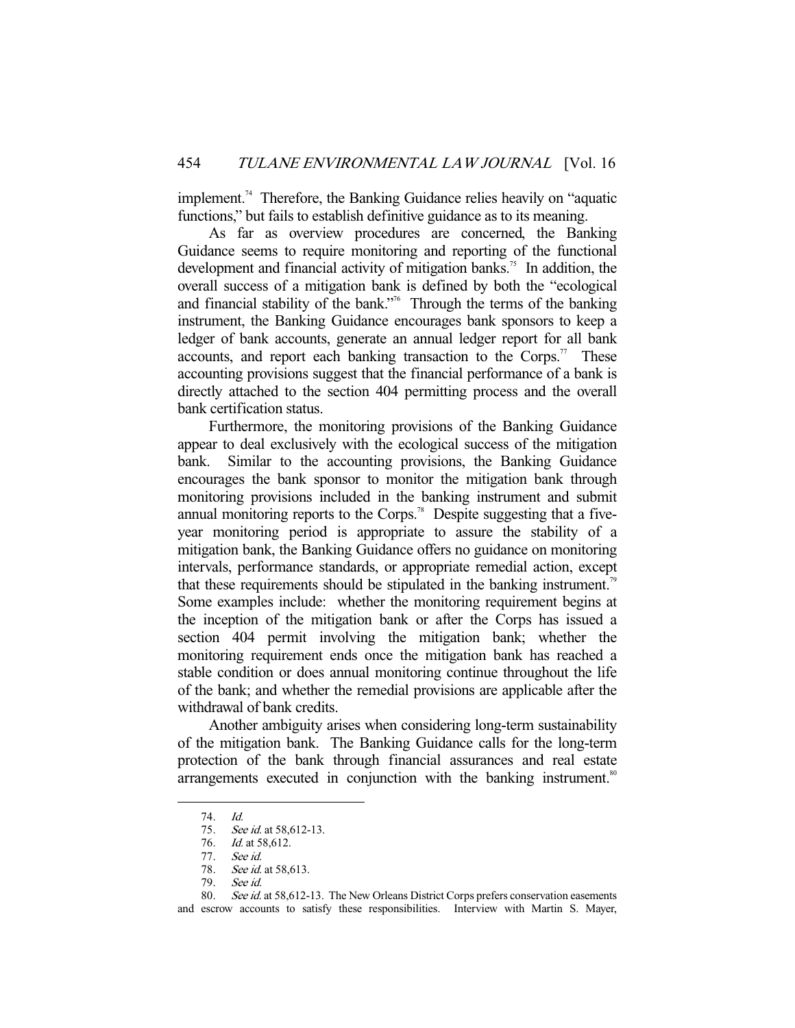implement.<sup>74</sup> Therefore, the Banking Guidance relies heavily on "aquatic functions," but fails to establish definitive guidance as to its meaning.

 As far as overview procedures are concerned, the Banking Guidance seems to require monitoring and reporting of the functional development and financial activity of mitigation banks.<sup>75</sup> In addition, the overall success of a mitigation bank is defined by both the "ecological and financial stability of the bank."76 Through the terms of the banking instrument, the Banking Guidance encourages bank sponsors to keep a ledger of bank accounts, generate an annual ledger report for all bank accounts, and report each banking transaction to the Corps.<sup>77</sup> These accounting provisions suggest that the financial performance of a bank is directly attached to the section 404 permitting process and the overall bank certification status.

 Furthermore, the monitoring provisions of the Banking Guidance appear to deal exclusively with the ecological success of the mitigation bank. Similar to the accounting provisions, the Banking Guidance encourages the bank sponsor to monitor the mitigation bank through monitoring provisions included in the banking instrument and submit annual monitoring reports to the Corps.<sup>78</sup> Despite suggesting that a fiveyear monitoring period is appropriate to assure the stability of a mitigation bank, the Banking Guidance offers no guidance on monitoring intervals, performance standards, or appropriate remedial action, except that these requirements should be stipulated in the banking instrument.<sup>79</sup> Some examples include: whether the monitoring requirement begins at the inception of the mitigation bank or after the Corps has issued a section 404 permit involving the mitigation bank; whether the monitoring requirement ends once the mitigation bank has reached a stable condition or does annual monitoring continue throughout the life of the bank; and whether the remedial provisions are applicable after the withdrawal of bank credits.

 Another ambiguity arises when considering long-term sustainability of the mitigation bank. The Banking Guidance calls for the long-term protection of the bank through financial assurances and real estate arrangements executed in conjunction with the banking instrument.<sup>80</sup>

 <sup>74.</sup> Id.

<sup>75.</sup> See id. at 58,612-13.

<sup>76.</sup> *Id.* at 58,612.<br>77. *See id.* 

See id.

<sup>78.</sup> See id. at 58,613.

 <sup>79.</sup> See id.

<sup>80.</sup> See id. at 58,612-13. The New Orleans District Corps prefers conservation easements and escrow accounts to satisfy these responsibilities. Interview with Martin S. Mayer,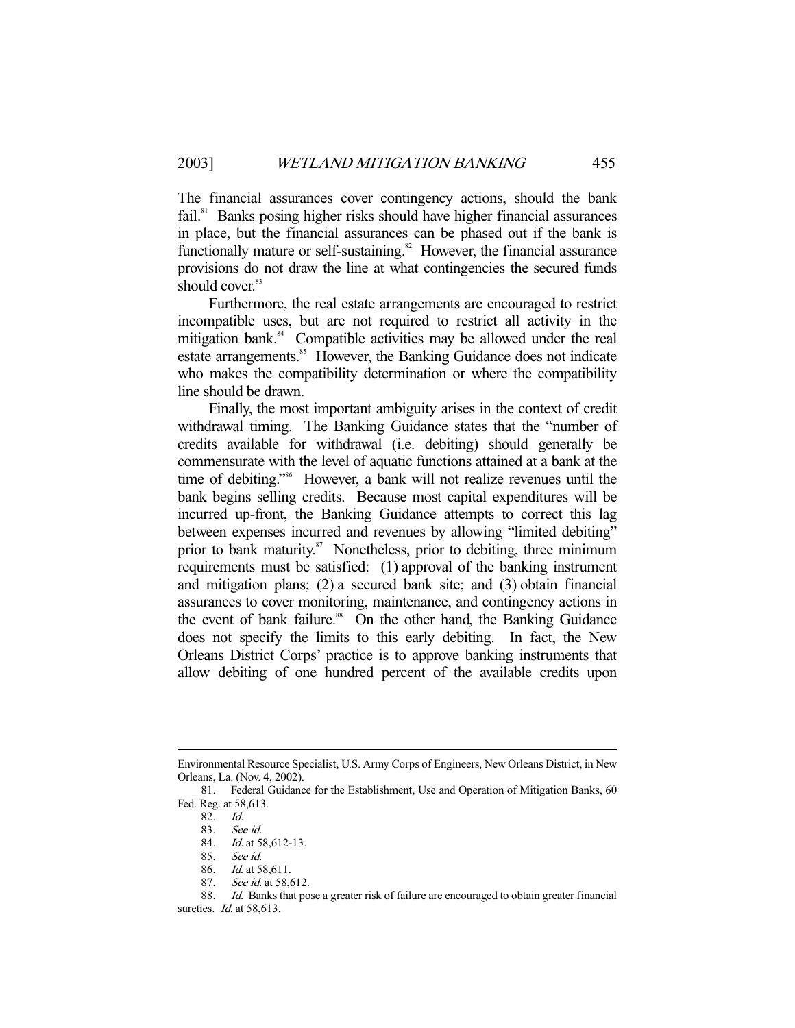The financial assurances cover contingency actions, should the bank fail.<sup>81</sup> Banks posing higher risks should have higher financial assurances in place, but the financial assurances can be phased out if the bank is functionally mature or self-sustaining. $82$  However, the financial assurance provisions do not draw the line at what contingencies the secured funds should cover.<sup>83</sup>

 Furthermore, the real estate arrangements are encouraged to restrict incompatible uses, but are not required to restrict all activity in the mitigation bank.<sup>84</sup> Compatible activities may be allowed under the real estate arrangements.<sup>85</sup> However, the Banking Guidance does not indicate who makes the compatibility determination or where the compatibility line should be drawn.

 Finally, the most important ambiguity arises in the context of credit withdrawal timing. The Banking Guidance states that the "number of credits available for withdrawal (i.e. debiting) should generally be commensurate with the level of aquatic functions attained at a bank at the time of debiting."86 However, a bank will not realize revenues until the bank begins selling credits. Because most capital expenditures will be incurred up-front, the Banking Guidance attempts to correct this lag between expenses incurred and revenues by allowing "limited debiting" prior to bank maturity. $87$  Nonetheless, prior to debiting, three minimum requirements must be satisfied: (1) approval of the banking instrument and mitigation plans; (2) a secured bank site; and (3) obtain financial assurances to cover monitoring, maintenance, and contingency actions in the event of bank failure.<sup>88</sup> On the other hand, the Banking Guidance does not specify the limits to this early debiting. In fact, the New Orleans District Corps' practice is to approve banking instruments that allow debiting of one hundred percent of the available credits upon

Environmental Resource Specialist, U.S. Army Corps of Engineers, New Orleans District, in New Orleans, La. (Nov. 4, 2002).

 <sup>81.</sup> Federal Guidance for the Establishment, Use and Operation of Mitigation Banks, 60 Fed. Reg. at 58,613.

 <sup>82.</sup> Id.

 <sup>83.</sup> See id.

 <sup>84.</sup> Id. at 58,612-13.

 <sup>85.</sup> See id.

 <sup>86.</sup> Id. at 58,611.

<sup>87.</sup> See id. at 58,612.

 <sup>88.</sup> Id. Banks that pose a greater risk of failure are encouraged to obtain greater financial sureties. *Id.* at 58,613.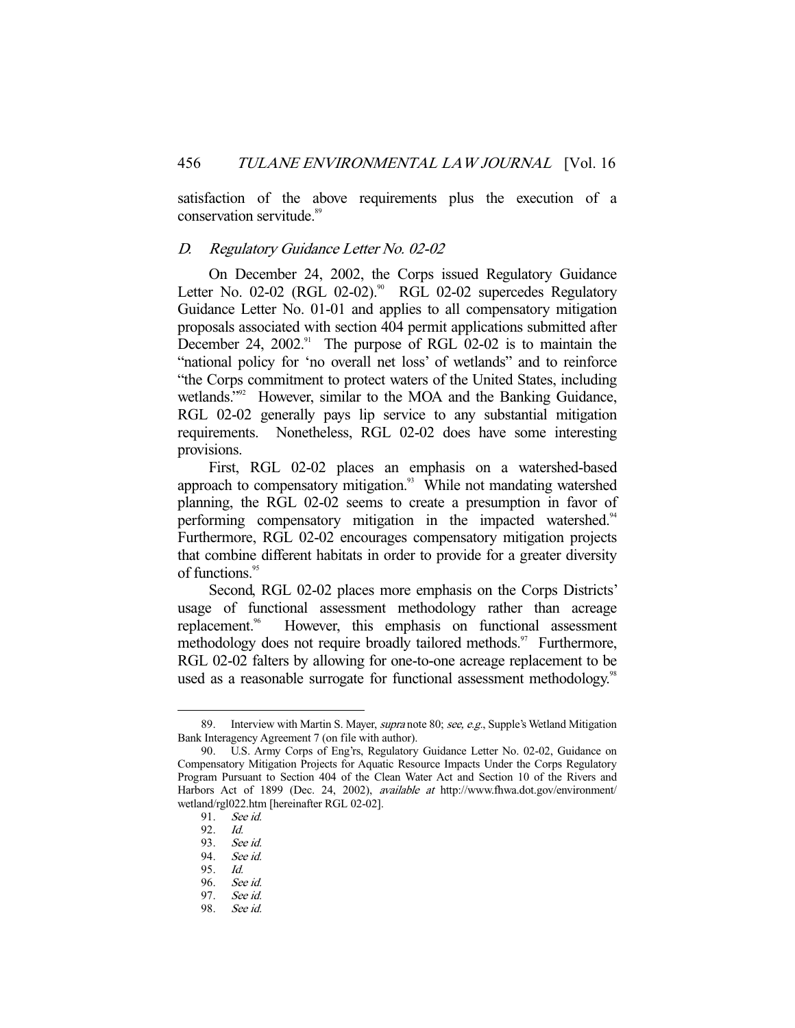satisfaction of the above requirements plus the execution of a conservation servitude.<sup>89</sup>

## D. Regulatory Guidance Letter No. 02-02

 On December 24, 2002, the Corps issued Regulatory Guidance Letter No. 02-02 (RGL 02-02).<sup>90</sup> RGL 02-02 supercedes Regulatory Guidance Letter No. 01-01 and applies to all compensatory mitigation proposals associated with section 404 permit applications submitted after December 24, 2002.<sup>91</sup> The purpose of RGL 02-02 is to maintain the "national policy for 'no overall net loss' of wetlands" and to reinforce "the Corps commitment to protect waters of the United States, including wetlands."<sup>92</sup> However, similar to the MOA and the Banking Guidance, RGL 02-02 generally pays lip service to any substantial mitigation requirements. Nonetheless, RGL 02-02 does have some interesting provisions.

 First, RGL 02-02 places an emphasis on a watershed-based approach to compensatory mitigation.<sup>93</sup> While not mandating watershed planning, the RGL 02-02 seems to create a presumption in favor of performing compensatory mitigation in the impacted watershed.<sup>94</sup> Furthermore, RGL 02-02 encourages compensatory mitigation projects that combine different habitats in order to provide for a greater diversity of functions.<sup>95</sup>

 Second, RGL 02-02 places more emphasis on the Corps Districts' usage of functional assessment methodology rather than acreage replacement.<sup>96</sup> However, this emphasis on functional assessment methodology does not require broadly tailored methods.<sup>97</sup> Furthermore, RGL 02-02 falters by allowing for one-to-one acreage replacement to be used as a reasonable surrogate for functional assessment methodology.<sup>98</sup>

<sup>89.</sup> Interview with Martin S. Mayer, *supra* note 80; see, e.g., Supple's Wetland Mitigation Bank Interagency Agreement 7 (on file with author).

 <sup>90.</sup> U.S. Army Corps of Eng'rs, Regulatory Guidance Letter No. 02-02, Guidance on Compensatory Mitigation Projects for Aquatic Resource Impacts Under the Corps Regulatory Program Pursuant to Section 404 of the Clean Water Act and Section 10 of the Rivers and Harbors Act of 1899 (Dec. 24, 2002), available at http://www.fhwa.dot.gov/environment/ wetland/rgl022.htm [hereinafter RGL 02-02].

<sup>91.</sup> See id.<br>92. Id.

<sup>92.&</sup>lt;br>93.

See id.

 <sup>94.</sup> See id.

<sup>95.</sup> *Id.*<br>96. *Sec* 

See id. 97. See id.

 <sup>98.</sup> See id.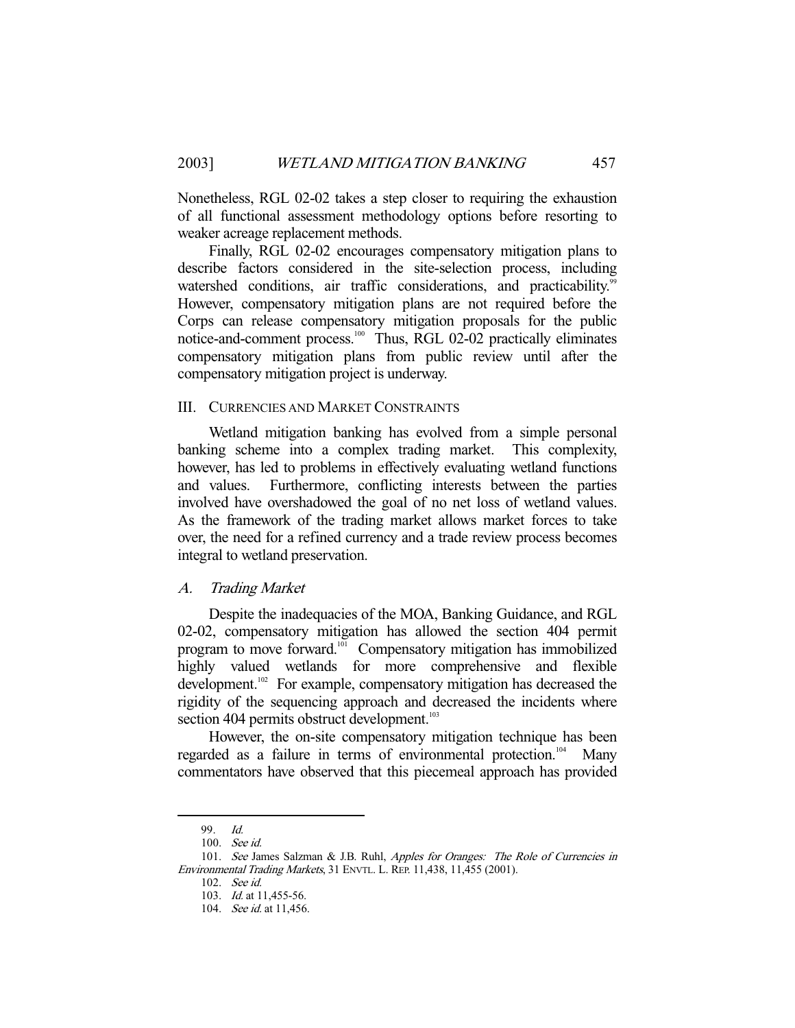Nonetheless, RGL 02-02 takes a step closer to requiring the exhaustion of all functional assessment methodology options before resorting to weaker acreage replacement methods.

 Finally, RGL 02-02 encourages compensatory mitigation plans to describe factors considered in the site-selection process, including watershed conditions, air traffic considerations, and practicability.<sup>99</sup> However, compensatory mitigation plans are not required before the Corps can release compensatory mitigation proposals for the public notice-and-comment process.<sup>100</sup> Thus, RGL 02-02 practically eliminates compensatory mitigation plans from public review until after the compensatory mitigation project is underway.

### III. CURRENCIES AND MARKET CONSTRAINTS

 Wetland mitigation banking has evolved from a simple personal banking scheme into a complex trading market. This complexity, however, has led to problems in effectively evaluating wetland functions and values. Furthermore, conflicting interests between the parties involved have overshadowed the goal of no net loss of wetland values. As the framework of the trading market allows market forces to take over, the need for a refined currency and a trade review process becomes integral to wetland preservation.

# A. Trading Market

 Despite the inadequacies of the MOA, Banking Guidance, and RGL 02-02, compensatory mitigation has allowed the section 404 permit program to move forward.<sup>101</sup> Compensatory mitigation has immobilized highly valued wetlands for more comprehensive and flexible development.<sup>102</sup> For example, compensatory mitigation has decreased the rigidity of the sequencing approach and decreased the incidents where section 404 permits obstruct development.<sup>103</sup>

 However, the on-site compensatory mitigation technique has been regarded as a failure in terms of environmental protection.<sup>104</sup> Many commentators have observed that this piecemeal approach has provided

 <sup>99.</sup> Id.

 <sup>100.</sup> See id.

<sup>101.</sup> See James Salzman & J.B. Ruhl, Apples for Oranges: The Role of Currencies in Environmental Trading Markets, 31 ENVTL. L. REP. 11,438, 11,455 (2001).

 <sup>102.</sup> See id.

<sup>103.</sup> *Id.* at 11,455-56.

<sup>104.</sup> See id. at 11,456.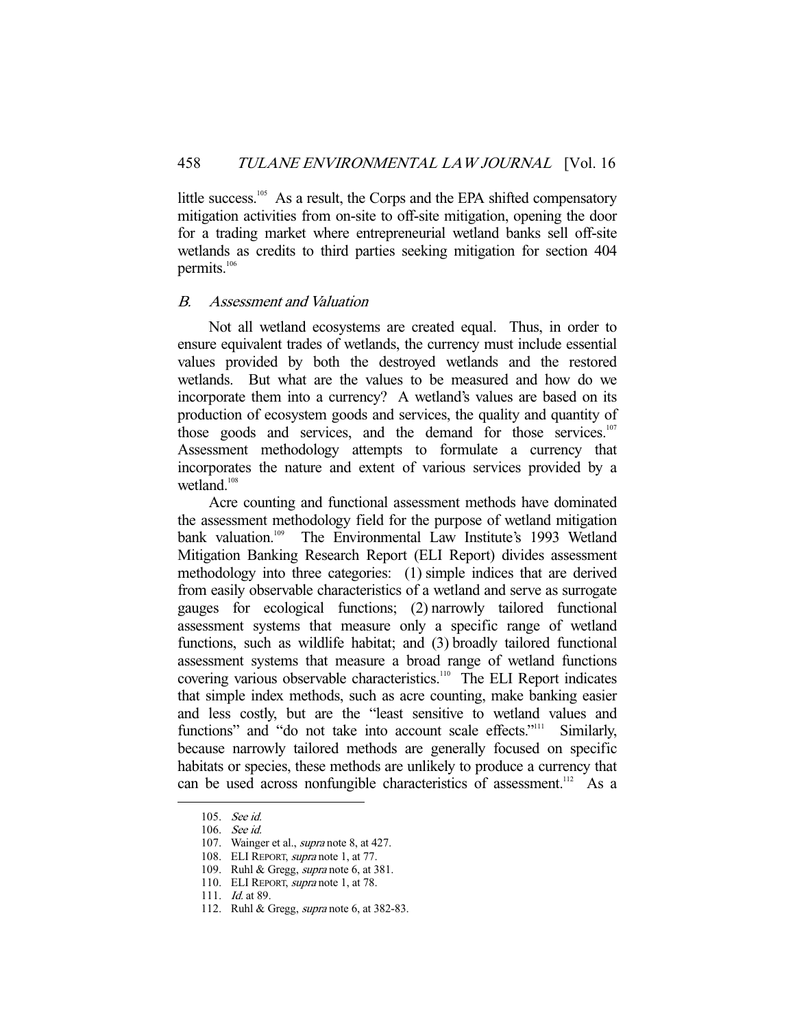little success.<sup>105</sup> As a result, the Corps and the EPA shifted compensatory mitigation activities from on-site to off-site mitigation, opening the door for a trading market where entrepreneurial wetland banks sell off-site wetlands as credits to third parties seeking mitigation for section 404 permits. $106$ 

#### B. Assessment and Valuation

 Not all wetland ecosystems are created equal. Thus, in order to ensure equivalent trades of wetlands, the currency must include essential values provided by both the destroyed wetlands and the restored wetlands. But what are the values to be measured and how do we incorporate them into a currency? A wetland's values are based on its production of ecosystem goods and services, the quality and quantity of those goods and services, and the demand for those services. $107$ Assessment methodology attempts to formulate a currency that incorporates the nature and extent of various services provided by a wetland.<sup>108</sup>

 Acre counting and functional assessment methods have dominated the assessment methodology field for the purpose of wetland mitigation bank valuation.<sup>109</sup> The Environmental Law Institute's 1993 Wetland Mitigation Banking Research Report (ELI Report) divides assessment methodology into three categories: (1) simple indices that are derived from easily observable characteristics of a wetland and serve as surrogate gauges for ecological functions; (2) narrowly tailored functional assessment systems that measure only a specific range of wetland functions, such as wildlife habitat; and (3) broadly tailored functional assessment systems that measure a broad range of wetland functions covering various observable characteristics.<sup>110</sup> The ELI Report indicates that simple index methods, such as acre counting, make banking easier and less costly, but are the "least sensitive to wetland values and functions" and "do not take into account scale effects."<sup>111</sup> Similarly, because narrowly tailored methods are generally focused on specific habitats or species, these methods are unlikely to produce a currency that can be used across nonfungible characteristics of assessment.<sup>112</sup> As a

 <sup>105.</sup> See id.

 <sup>106.</sup> See id.

<sup>107.</sup> Wainger et al., *supra* note 8, at 427.

<sup>108.</sup> ELI REPORT, supra note 1, at 77.

<sup>109.</sup> Ruhl & Gregg, supra note 6, at 381.

 <sup>110.</sup> ELI REPORT, supra note 1, at 78.

<sup>111.</sup> *Id.* at 89.

<sup>112.</sup> Ruhl & Gregg, *supra* note 6, at 382-83.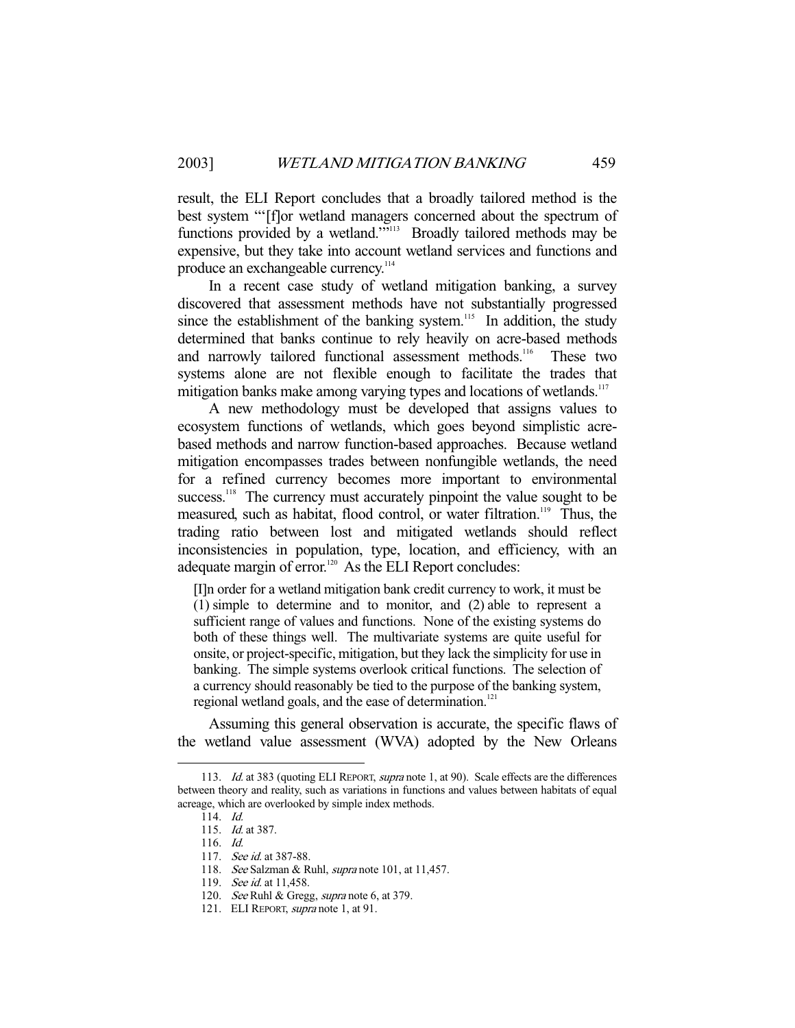result, the ELI Report concludes that a broadly tailored method is the best system "'[f]or wetland managers concerned about the spectrum of functions provided by a wetland."<sup>5113</sup> Broadly tailored methods may be expensive, but they take into account wetland services and functions and produce an exchangeable currency.<sup>114</sup>

 In a recent case study of wetland mitigation banking, a survey discovered that assessment methods have not substantially progressed since the establishment of the banking system.<sup>115</sup> In addition, the study determined that banks continue to rely heavily on acre-based methods and narrowly tailored functional assessment methods.<sup>116</sup> These two systems alone are not flexible enough to facilitate the trades that mitigation banks make among varying types and locations of wetlands.<sup>117</sup>

 A new methodology must be developed that assigns values to ecosystem functions of wetlands, which goes beyond simplistic acrebased methods and narrow function-based approaches. Because wetland mitigation encompasses trades between nonfungible wetlands, the need for a refined currency becomes more important to environmental success.<sup>118</sup> The currency must accurately pinpoint the value sought to be measured, such as habitat, flood control, or water filtration.<sup>119</sup> Thus, the trading ratio between lost and mitigated wetlands should reflect inconsistencies in population, type, location, and efficiency, with an adequate margin of error. $120$  As the ELI Report concludes:

[I]n order for a wetland mitigation bank credit currency to work, it must be (1) simple to determine and to monitor, and (2) able to represent a sufficient range of values and functions. None of the existing systems do both of these things well. The multivariate systems are quite useful for onsite, or project-specific, mitigation, but they lack the simplicity for use in banking. The simple systems overlook critical functions. The selection of a currency should reasonably be tied to the purpose of the banking system, regional wetland goals, and the ease of determination.<sup>121</sup>

 Assuming this general observation is accurate, the specific flaws of the wetland value assessment (WVA) adopted by the New Orleans

<sup>113.</sup> Id. at 383 (quoting ELI REPORT, *supra* note 1, at 90). Scale effects are the differences between theory and reality, such as variations in functions and values between habitats of equal acreage, which are overlooked by simple index methods.

 <sup>114.</sup> Id.

 <sup>115.</sup> Id. at 387.

 <sup>116.</sup> Id.

<sup>117.</sup> *See id.* at 387-88.

<sup>118.</sup> See Salzman & Ruhl, *supra* note 101, at 11,457.

<sup>119.</sup> *See id.* at 11,458.

<sup>120.</sup> See Ruhl & Gregg, supra note 6, at 379.

 <sup>121.</sup> ELI REPORT, supra note 1, at 91.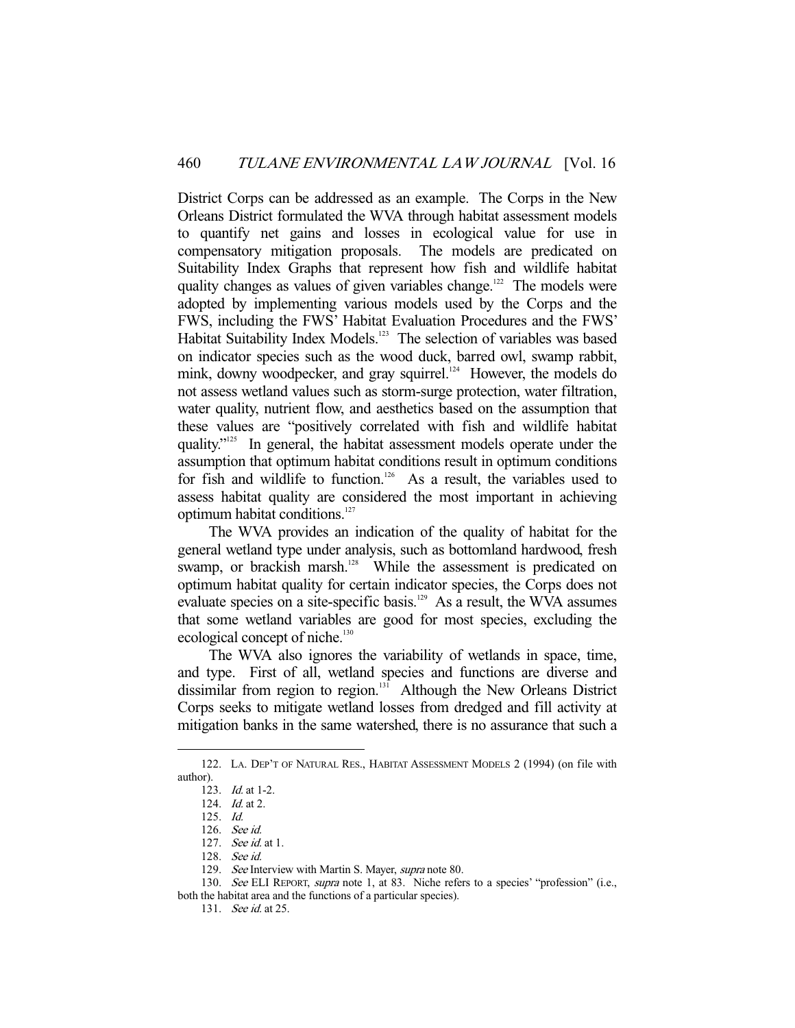District Corps can be addressed as an example. The Corps in the New Orleans District formulated the WVA through habitat assessment models to quantify net gains and losses in ecological value for use in compensatory mitigation proposals. The models are predicated on Suitability Index Graphs that represent how fish and wildlife habitat quality changes as values of given variables change.<sup>122</sup> The models were adopted by implementing various models used by the Corps and the FWS, including the FWS' Habitat Evaluation Procedures and the FWS' Habitat Suitability Index Models.<sup>123</sup> The selection of variables was based on indicator species such as the wood duck, barred owl, swamp rabbit, mink, downy woodpecker, and gray squirrel.<sup>124</sup> However, the models do not assess wetland values such as storm-surge protection, water filtration, water quality, nutrient flow, and aesthetics based on the assumption that these values are "positively correlated with fish and wildlife habitat quality."125 In general, the habitat assessment models operate under the assumption that optimum habitat conditions result in optimum conditions for fish and wildlife to function.<sup>126</sup> As a result, the variables used to assess habitat quality are considered the most important in achieving optimum habitat conditions.<sup>127</sup>

 The WVA provides an indication of the quality of habitat for the general wetland type under analysis, such as bottomland hardwood, fresh swamp, or brackish marsh.<sup>128</sup> While the assessment is predicated on optimum habitat quality for certain indicator species, the Corps does not evaluate species on a site-specific basis.<sup>129</sup> As a result, the WVA assumes that some wetland variables are good for most species, excluding the ecological concept of niche.<sup>130</sup>

 The WVA also ignores the variability of wetlands in space, time, and type. First of all, wetland species and functions are diverse and dissimilar from region to region.<sup>131</sup> Although the New Orleans District Corps seeks to mitigate wetland losses from dredged and fill activity at mitigation banks in the same watershed, there is no assurance that such a

 <sup>122.</sup> LA. DEP'T OF NATURAL RES., HABITAT ASSESSMENT MODELS 2 (1994) (on file with author).

 <sup>123.</sup> Id. at 1-2.

<sup>124.</sup> *Id.* at 2.

 <sup>125.</sup> Id.

 <sup>126.</sup> See id.

 <sup>127.</sup> See id. at 1.

 <sup>128.</sup> See id.

<sup>129.</sup> See Interview with Martin S. Mayer, supra note 80.

<sup>130.</sup> See ELI REPORT, supra note 1, at 83. Niche refers to a species' "profession" (i.e., both the habitat area and the functions of a particular species).

<sup>131.</sup> *See id.* at 25.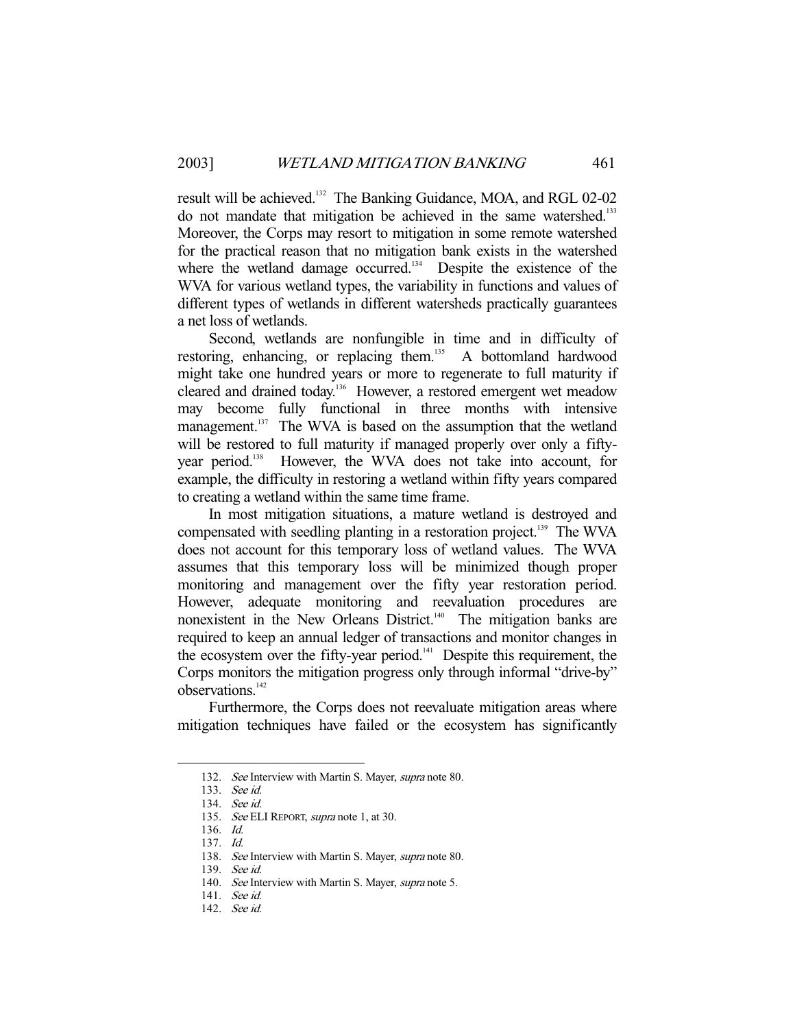result will be achieved.132 The Banking Guidance, MOA, and RGL 02-02 do not mandate that mitigation be achieved in the same watershed.<sup>133</sup> Moreover, the Corps may resort to mitigation in some remote watershed for the practical reason that no mitigation bank exists in the watershed where the wetland damage occurred.<sup>134</sup> Despite the existence of the WVA for various wetland types, the variability in functions and values of different types of wetlands in different watersheds practically guarantees a net loss of wetlands.

 Second, wetlands are nonfungible in time and in difficulty of restoring, enhancing, or replacing them.<sup>135</sup> A bottomland hardwood might take one hundred years or more to regenerate to full maturity if cleared and drained today.<sup>136</sup> However, a restored emergent wet meadow may become fully functional in three months with intensive management.<sup>137</sup> The WVA is based on the assumption that the wetland will be restored to full maturity if managed properly over only a fifty-<br>year period.<sup>138</sup> However, the WVA does not take into account, for However, the WVA does not take into account, for example, the difficulty in restoring a wetland within fifty years compared to creating a wetland within the same time frame.

 In most mitigation situations, a mature wetland is destroyed and compensated with seedling planting in a restoration project.<sup>139</sup> The WVA does not account for this temporary loss of wetland values. The WVA assumes that this temporary loss will be minimized though proper monitoring and management over the fifty year restoration period. However, adequate monitoring and reevaluation procedures are nonexistent in the New Orleans District.<sup>140</sup> The mitigation banks are required to keep an annual ledger of transactions and monitor changes in the ecosystem over the fifty-year period. $141$  Despite this requirement, the Corps monitors the mitigation progress only through informal "drive-by" observations.<sup>142</sup>

 Furthermore, the Corps does not reevaluate mitigation areas where mitigation techniques have failed or the ecosystem has significantly

<sup>132.</sup> See Interview with Martin S. Mayer, supra note 80.

 <sup>133.</sup> See id.

 <sup>134.</sup> See id.

<sup>135.</sup> See ELI REPORT, supra note 1, at 30.

 <sup>136.</sup> Id.

 <sup>137.</sup> Id.

<sup>138.</sup> See Interview with Martin S. Mayer, supra note 80.

 <sup>139.</sup> See id.

<sup>140.</sup> See Interview with Martin S. Mayer, supra note 5.

 <sup>141.</sup> See id.

 <sup>142.</sup> See id.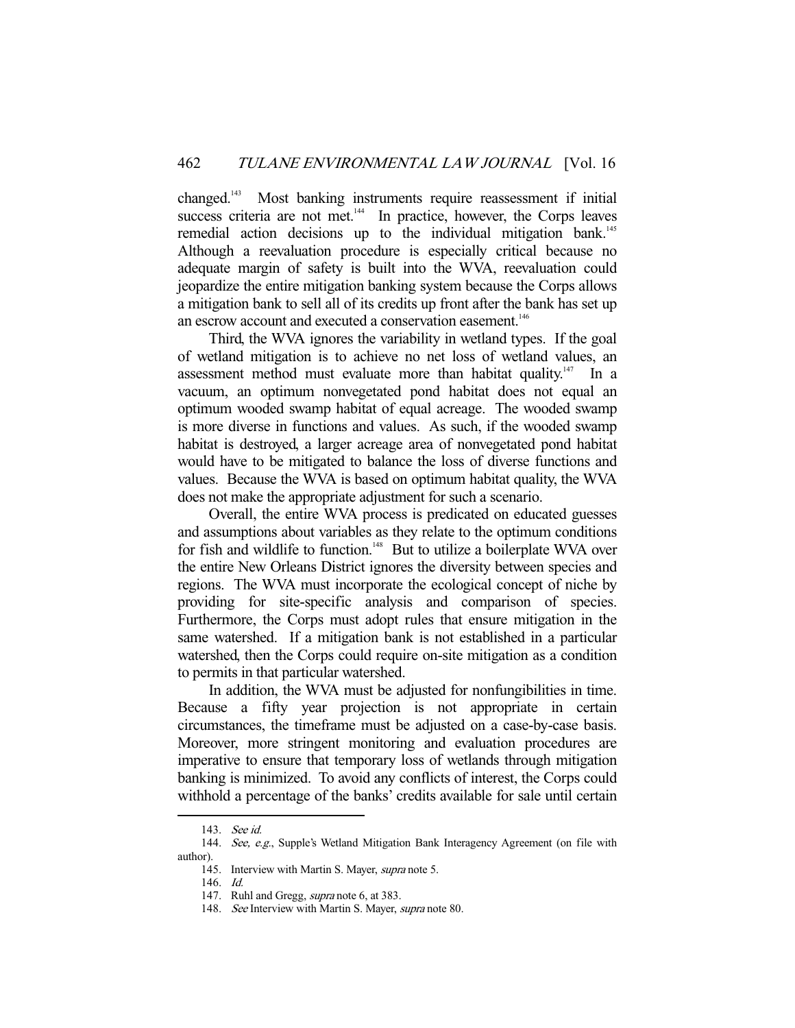changed.143 Most banking instruments require reassessment if initial success criteria are not met. $144$  In practice, however, the Corps leaves remedial action decisions up to the individual mitigation bank.<sup>145</sup> Although a reevaluation procedure is especially critical because no adequate margin of safety is built into the WVA, reevaluation could jeopardize the entire mitigation banking system because the Corps allows a mitigation bank to sell all of its credits up front after the bank has set up an escrow account and executed a conservation easement.<sup>146</sup>

 Third, the WVA ignores the variability in wetland types. If the goal of wetland mitigation is to achieve no net loss of wetland values, an assessment method must evaluate more than habitat quality.<sup>147</sup> In a vacuum, an optimum nonvegetated pond habitat does not equal an optimum wooded swamp habitat of equal acreage. The wooded swamp is more diverse in functions and values. As such, if the wooded swamp habitat is destroyed, a larger acreage area of nonvegetated pond habitat would have to be mitigated to balance the loss of diverse functions and values. Because the WVA is based on optimum habitat quality, the WVA does not make the appropriate adjustment for such a scenario.

 Overall, the entire WVA process is predicated on educated guesses and assumptions about variables as they relate to the optimum conditions for fish and wildlife to function.<sup>148</sup> But to utilize a boilerplate WVA over the entire New Orleans District ignores the diversity between species and regions. The WVA must incorporate the ecological concept of niche by providing for site-specific analysis and comparison of species. Furthermore, the Corps must adopt rules that ensure mitigation in the same watershed. If a mitigation bank is not established in a particular watershed, then the Corps could require on-site mitigation as a condition to permits in that particular watershed.

 In addition, the WVA must be adjusted for nonfungibilities in time. Because a fifty year projection is not appropriate in certain circumstances, the timeframe must be adjusted on a case-by-case basis. Moreover, more stringent monitoring and evaluation procedures are imperative to ensure that temporary loss of wetlands through mitigation banking is minimized. To avoid any conflicts of interest, the Corps could withhold a percentage of the banks' credits available for sale until certain

 <sup>143.</sup> See id.

<sup>144.</sup> See, e.g., Supple's Wetland Mitigation Bank Interagency Agreement (on file with author).

 <sup>145.</sup> Interview with Martin S. Mayer, supra note 5.

 <sup>146.</sup> Id.

 <sup>147.</sup> Ruhl and Gregg, supra note 6, at 383.

<sup>148.</sup> See Interview with Martin S. Mayer, *supra* note 80.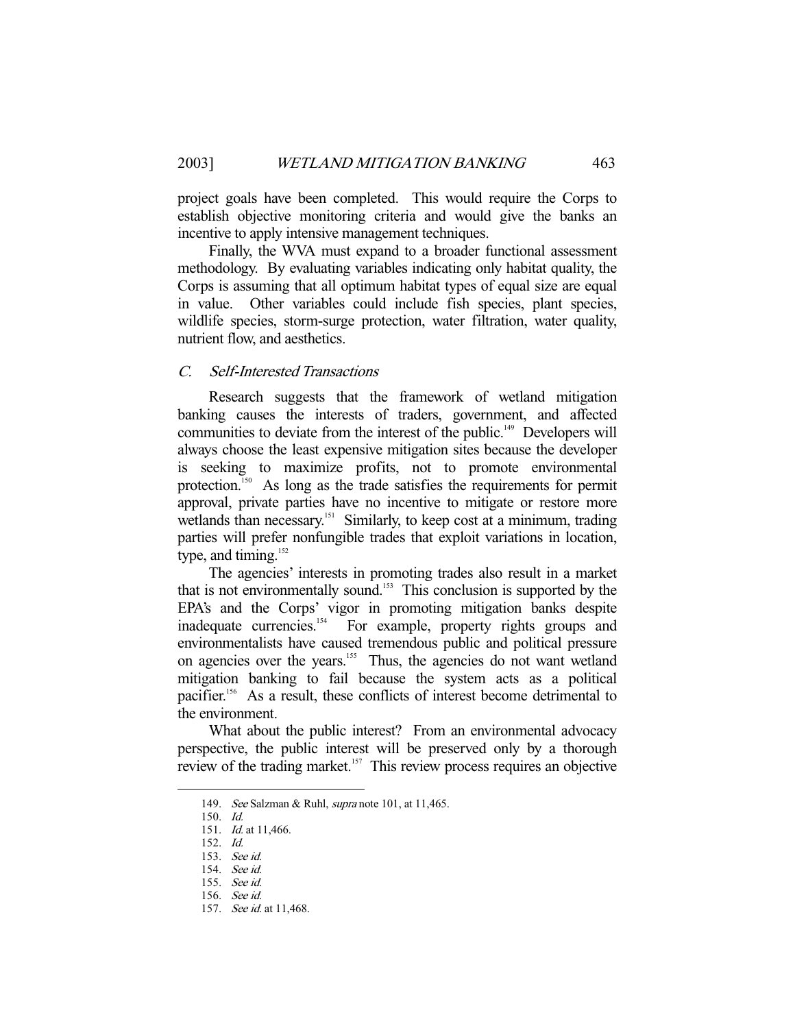project goals have been completed. This would require the Corps to establish objective monitoring criteria and would give the banks an incentive to apply intensive management techniques.

 Finally, the WVA must expand to a broader functional assessment methodology. By evaluating variables indicating only habitat quality, the Corps is assuming that all optimum habitat types of equal size are equal in value. Other variables could include fish species, plant species, wildlife species, storm-surge protection, water filtration, water quality, nutrient flow, and aesthetics.

#### C. Self-Interested Transactions

 Research suggests that the framework of wetland mitigation banking causes the interests of traders, government, and affected communities to deviate from the interest of the public.<sup>149</sup> Developers will always choose the least expensive mitigation sites because the developer is seeking to maximize profits, not to promote environmental protection.150 As long as the trade satisfies the requirements for permit approval, private parties have no incentive to mitigate or restore more wetlands than necessary.<sup>151</sup> Similarly, to keep cost at a minimum, trading parties will prefer nonfungible trades that exploit variations in location, type, and timing. $152$ 

 The agencies' interests in promoting trades also result in a market that is not environmentally sound.<sup>153</sup> This conclusion is supported by the EPA's and the Corps' vigor in promoting mitigation banks despite inadequate currencies.154 For example, property rights groups and environmentalists have caused tremendous public and political pressure on agencies over the years.<sup>155</sup> Thus, the agencies do not want wetland mitigation banking to fail because the system acts as a political pacifier.<sup>156</sup> As a result, these conflicts of interest become detrimental to the environment.

 What about the public interest? From an environmental advocacy perspective, the public interest will be preserved only by a thorough review of the trading market.<sup>157</sup> This review process requires an objective

<sup>149.</sup> See Salzman & Ruhl, *supra* note 101, at 11,465.

 <sup>150.</sup> Id.

 <sup>151.</sup> Id. at 11,466.

 <sup>152.</sup> Id.

 <sup>153.</sup> See id.

 <sup>154.</sup> See id.

 <sup>155.</sup> See id.

 <sup>156.</sup> See id.

<sup>157.</sup> See id. at 11,468.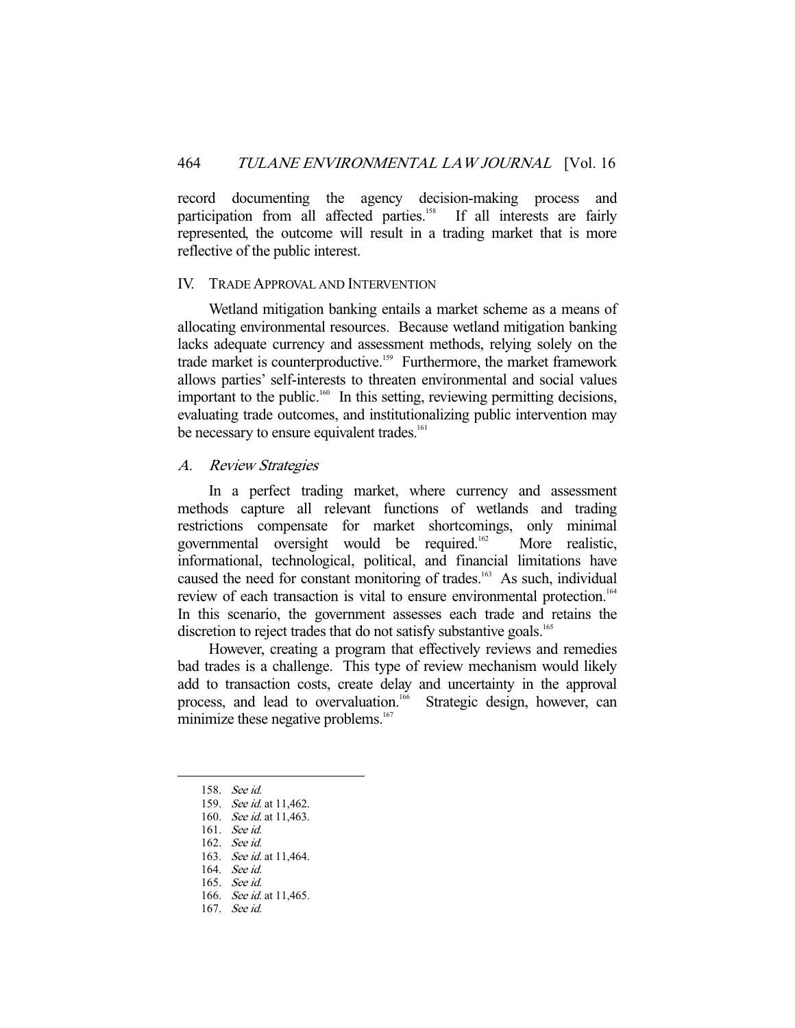record documenting the agency decision-making process and participation from all affected parties.<sup>158</sup> If all interests are fairly represented, the outcome will result in a trading market that is more reflective of the public interest.

#### IV. TRADE APPROVAL AND INTERVENTION

 Wetland mitigation banking entails a market scheme as a means of allocating environmental resources. Because wetland mitigation banking lacks adequate currency and assessment methods, relying solely on the trade market is counterproductive.<sup>159</sup> Furthermore, the market framework allows parties' self-interests to threaten environmental and social values important to the public.<sup>160</sup> In this setting, reviewing permitting decisions, evaluating trade outcomes, and institutionalizing public intervention may be necessary to ensure equivalent trades.<sup>161</sup>

# A. Review Strategies

 In a perfect trading market, where currency and assessment methods capture all relevant functions of wetlands and trading restrictions compensate for market shortcomings, only minimal governmental oversight would be required.<sup>162</sup> More realistic, informational, technological, political, and financial limitations have caused the need for constant monitoring of trades.<sup>163</sup> As such, individual review of each transaction is vital to ensure environmental protection.<sup>164</sup> In this scenario, the government assesses each trade and retains the discretion to reject trades that do not satisfy substantive goals.<sup>165</sup>

 However, creating a program that effectively reviews and remedies bad trades is a challenge. This type of review mechanism would likely add to transaction costs, create delay and uncertainty in the approval process, and lead to overvaluation.<sup>166</sup> Strategic design, however, can minimize these negative problems.<sup>167</sup>

 <sup>158.</sup> See id.

 <sup>159.</sup> See id. at 11,462.

<sup>160.</sup> *See id.* at 11,463.

 <sup>161.</sup> See id.

 <sup>162.</sup> See id.

 <sup>163.</sup> See id. at 11,464.

 <sup>164.</sup> See id.

 <sup>165.</sup> See id.

<sup>166.</sup> *See id.* at 11,465.

 <sup>167.</sup> See id.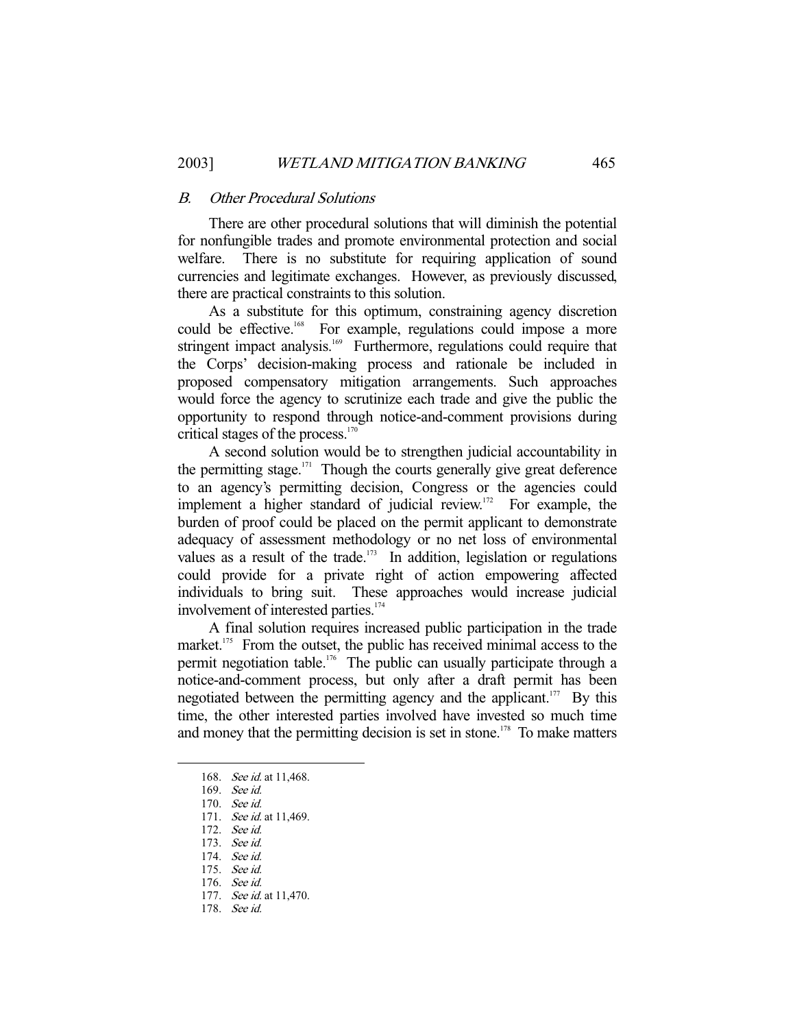#### B. Other Procedural Solutions

 There are other procedural solutions that will diminish the potential for nonfungible trades and promote environmental protection and social welfare. There is no substitute for requiring application of sound currencies and legitimate exchanges. However, as previously discussed, there are practical constraints to this solution.

 As a substitute for this optimum, constraining agency discretion could be effective.<sup>168</sup> For example, regulations could impose a more stringent impact analysis.<sup>169</sup> Furthermore, regulations could require that the Corps' decision-making process and rationale be included in proposed compensatory mitigation arrangements. Such approaches would force the agency to scrutinize each trade and give the public the opportunity to respond through notice-and-comment provisions during critical stages of the process. $170$ 

 A second solution would be to strengthen judicial accountability in the permitting stage. $171$  Though the courts generally give great deference to an agency's permitting decision, Congress or the agencies could implement a higher standard of judicial review.<sup>172</sup> For example, the burden of proof could be placed on the permit applicant to demonstrate adequacy of assessment methodology or no net loss of environmental values as a result of the trade.<sup>173</sup> In addition, legislation or regulations could provide for a private right of action empowering affected individuals to bring suit. These approaches would increase judicial involvement of interested parties.<sup>174</sup>

 A final solution requires increased public participation in the trade market. $175$  From the outset, the public has received minimal access to the permit negotiation table.<sup>176</sup> The public can usually participate through a notice-and-comment process, but only after a draft permit has been negotiated between the permitting agency and the applicant.<sup>177</sup> By this time, the other interested parties involved have invested so much time and money that the permitting decision is set in stone.<sup>178</sup> To make matters

<sup>168.</sup> See id. at 11,468.

 <sup>169.</sup> See id.

 <sup>170.</sup> See id.

 <sup>171.</sup> See id. at 11,469.

 <sup>172.</sup> See id.

 <sup>173.</sup> See id.

 <sup>174.</sup> See id.

 <sup>175.</sup> See id.

 <sup>176.</sup> See id. 177. See id. at 11,470.

 <sup>178.</sup> See id.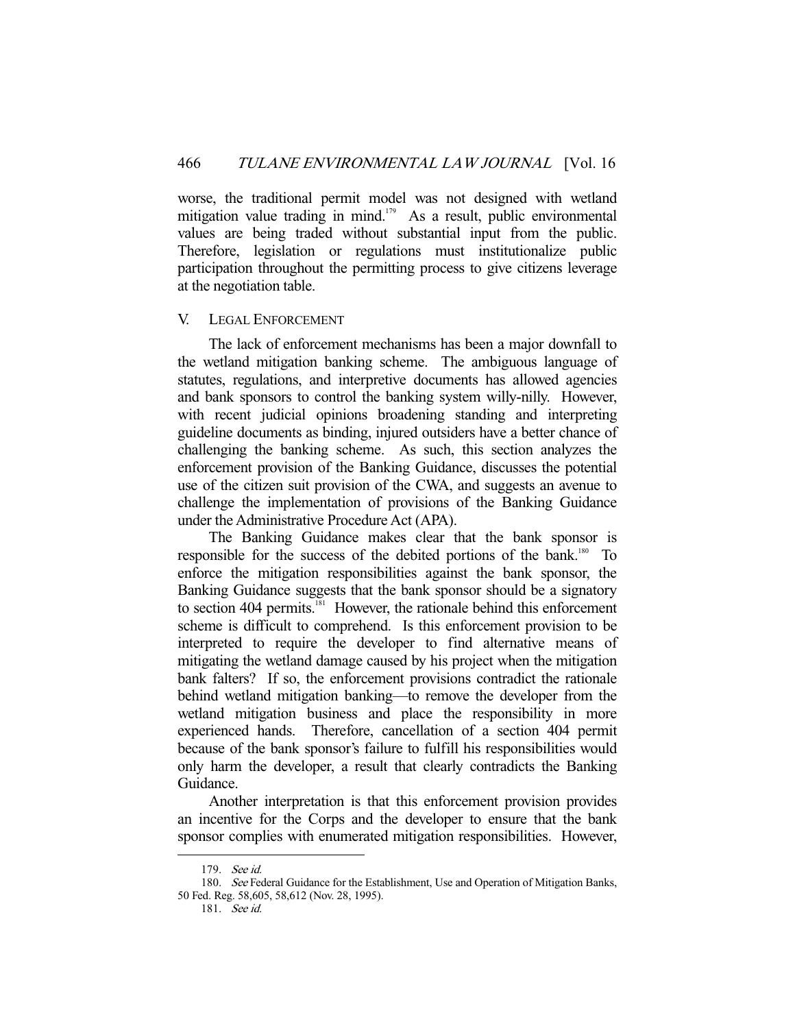worse, the traditional permit model was not designed with wetland mitigation value trading in mind.<sup>179</sup> As a result, public environmental values are being traded without substantial input from the public. Therefore, legislation or regulations must institutionalize public participation throughout the permitting process to give citizens leverage at the negotiation table.

#### V. LEGAL ENFORCEMENT

 The lack of enforcement mechanisms has been a major downfall to the wetland mitigation banking scheme. The ambiguous language of statutes, regulations, and interpretive documents has allowed agencies and bank sponsors to control the banking system willy-nilly. However, with recent judicial opinions broadening standing and interpreting guideline documents as binding, injured outsiders have a better chance of challenging the banking scheme. As such, this section analyzes the enforcement provision of the Banking Guidance, discusses the potential use of the citizen suit provision of the CWA, and suggests an avenue to challenge the implementation of provisions of the Banking Guidance under the Administrative Procedure Act (APA).

 The Banking Guidance makes clear that the bank sponsor is responsible for the success of the debited portions of the bank.<sup>180</sup> To enforce the mitigation responsibilities against the bank sponsor, the Banking Guidance suggests that the bank sponsor should be a signatory to section 404 permits.<sup>181</sup> However, the rationale behind this enforcement scheme is difficult to comprehend. Is this enforcement provision to be interpreted to require the developer to find alternative means of mitigating the wetland damage caused by his project when the mitigation bank falters? If so, the enforcement provisions contradict the rationale behind wetland mitigation banking—to remove the developer from the wetland mitigation business and place the responsibility in more experienced hands. Therefore, cancellation of a section 404 permit because of the bank sponsor's failure to fulfill his responsibilities would only harm the developer, a result that clearly contradicts the Banking Guidance.

 Another interpretation is that this enforcement provision provides an incentive for the Corps and the developer to ensure that the bank sponsor complies with enumerated mitigation responsibilities. However,

 <sup>179.</sup> See id.

<sup>180.</sup> See Federal Guidance for the Establishment, Use and Operation of Mitigation Banks, 50 Fed. Reg. 58,605, 58,612 (Nov. 28, 1995).

 <sup>181.</sup> See id.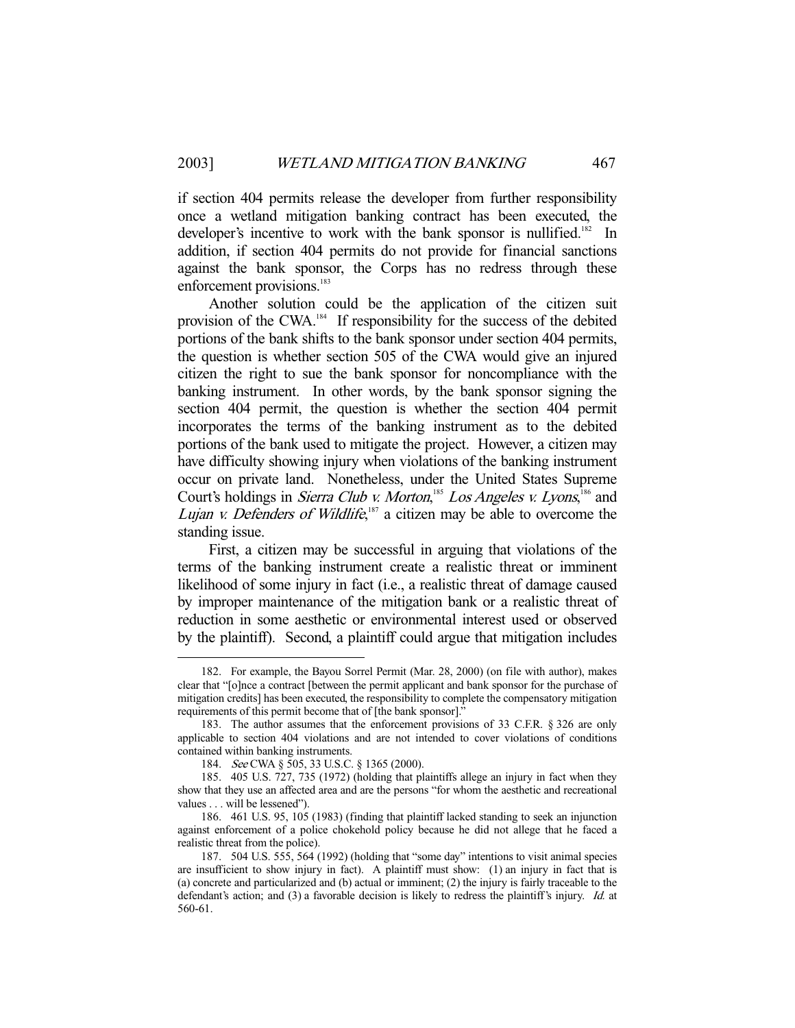if section 404 permits release the developer from further responsibility once a wetland mitigation banking contract has been executed, the developer's incentive to work with the bank sponsor is nullified.<sup>182</sup> In addition, if section 404 permits do not provide for financial sanctions against the bank sponsor, the Corps has no redress through these enforcement provisions.<sup>183</sup>

 Another solution could be the application of the citizen suit provision of the CWA.<sup>184</sup> If responsibility for the success of the debited portions of the bank shifts to the bank sponsor under section 404 permits, the question is whether section 505 of the CWA would give an injured citizen the right to sue the bank sponsor for noncompliance with the banking instrument. In other words, by the bank sponsor signing the section 404 permit, the question is whether the section 404 permit incorporates the terms of the banking instrument as to the debited portions of the bank used to mitigate the project. However, a citizen may have difficulty showing injury when violations of the banking instrument occur on private land. Nonetheless, under the United States Supreme Court's holdings in *Sierra Club v. Morton*,<sup>185</sup> Los Angeles v. Lyons,<sup>186</sup> and *Lujan v. Defenders of Wildlife*,<sup>187</sup> a citizen may be able to overcome the standing issue.

 First, a citizen may be successful in arguing that violations of the terms of the banking instrument create a realistic threat or imminent likelihood of some injury in fact (i.e., a realistic threat of damage caused by improper maintenance of the mitigation bank or a realistic threat of reduction in some aesthetic or environmental interest used or observed by the plaintiff). Second, a plaintiff could argue that mitigation includes

 <sup>182.</sup> For example, the Bayou Sorrel Permit (Mar. 28, 2000) (on file with author), makes clear that "[o]nce a contract [between the permit applicant and bank sponsor for the purchase of mitigation credits] has been executed, the responsibility to complete the compensatory mitigation requirements of this permit become that of [the bank sponsor]."

 <sup>183.</sup> The author assumes that the enforcement provisions of 33 C.F.R. § 326 are only applicable to section 404 violations and are not intended to cover violations of conditions contained within banking instruments.

<sup>184.</sup> See CWA § 505, 33 U.S.C. § 1365 (2000).

 <sup>185. 405</sup> U.S. 727, 735 (1972) (holding that plaintiffs allege an injury in fact when they show that they use an affected area and are the persons "for whom the aesthetic and recreational values . . . will be lessened").

 <sup>186. 461</sup> U.S. 95, 105 (1983) (finding that plaintiff lacked standing to seek an injunction against enforcement of a police chokehold policy because he did not allege that he faced a realistic threat from the police).

 <sup>187. 504</sup> U.S. 555, 564 (1992) (holding that "some day" intentions to visit animal species are insufficient to show injury in fact). A plaintiff must show: (1) an injury in fact that is (a) concrete and particularized and (b) actual or imminent; (2) the injury is fairly traceable to the defendant's action; and (3) a favorable decision is likely to redress the plaintiff's injury. Id. at 560-61.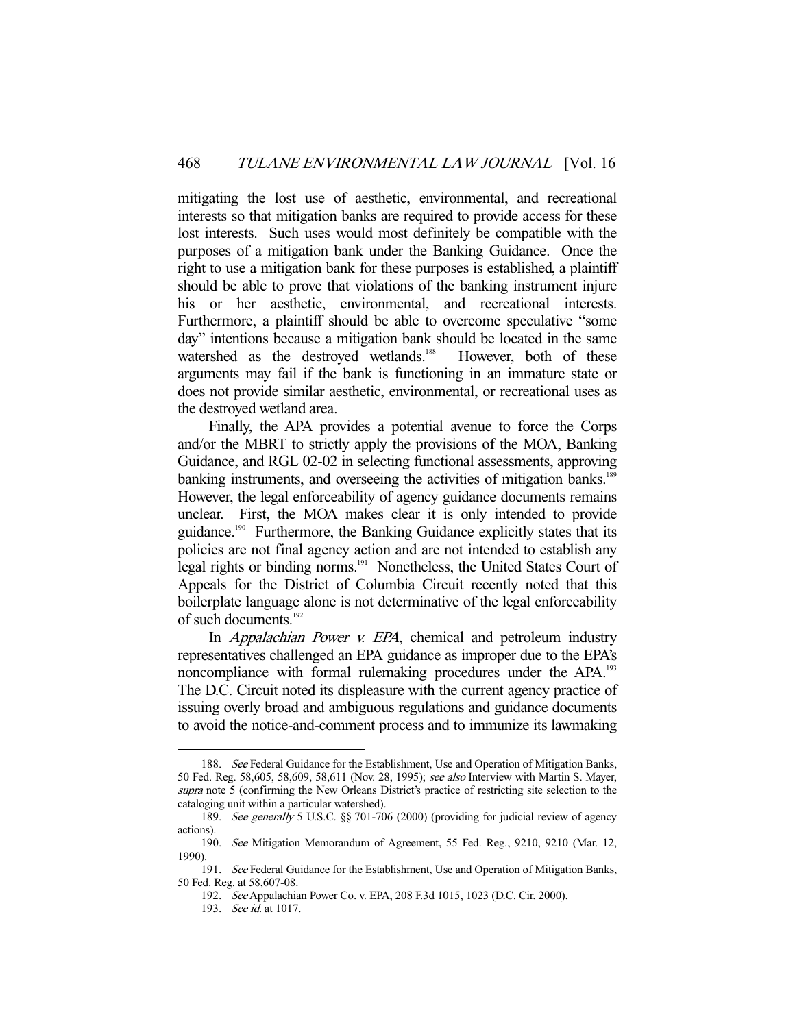mitigating the lost use of aesthetic, environmental, and recreational interests so that mitigation banks are required to provide access for these lost interests. Such uses would most definitely be compatible with the purposes of a mitigation bank under the Banking Guidance. Once the right to use a mitigation bank for these purposes is established, a plaintiff should be able to prove that violations of the banking instrument injure his or her aesthetic, environmental, and recreational interests. Furthermore, a plaintiff should be able to overcome speculative "some day" intentions because a mitigation bank should be located in the same watershed as the destroyed wetlands.<sup>188</sup> However, both of these arguments may fail if the bank is functioning in an immature state or does not provide similar aesthetic, environmental, or recreational uses as the destroyed wetland area.

 Finally, the APA provides a potential avenue to force the Corps and/or the MBRT to strictly apply the provisions of the MOA, Banking Guidance, and RGL 02-02 in selecting functional assessments, approving banking instruments, and overseeing the activities of mitigation banks.<sup>189</sup> However, the legal enforceability of agency guidance documents remains unclear. First, the MOA makes clear it is only intended to provide guidance.<sup>190</sup> Furthermore, the Banking Guidance explicitly states that its policies are not final agency action and are not intended to establish any legal rights or binding norms.<sup>191</sup> Nonetheless, the United States Court of Appeals for the District of Columbia Circuit recently noted that this boilerplate language alone is not determinative of the legal enforceability of such documents.<sup>192</sup>

In *Appalachian Power v. EPA*, chemical and petroleum industry representatives challenged an EPA guidance as improper due to the EPA's noncompliance with formal rulemaking procedures under the APA.<sup>193</sup> The D.C. Circuit noted its displeasure with the current agency practice of issuing overly broad and ambiguous regulations and guidance documents to avoid the notice-and-comment process and to immunize its lawmaking

<sup>188.</sup> See Federal Guidance for the Establishment, Use and Operation of Mitigation Banks, 50 Fed. Reg. 58,605, 58,609, 58,611 (Nov. 28, 1995); see also Interview with Martin S. Mayer, supra note 5 (confirming the New Orleans District's practice of restricting site selection to the cataloging unit within a particular watershed).

 <sup>189.</sup> See generally 5 U.S.C. §§ 701-706 (2000) (providing for judicial review of agency actions).

 <sup>190.</sup> See Mitigation Memorandum of Agreement, 55 Fed. Reg., 9210, 9210 (Mar. 12, 1990).

<sup>191.</sup> See Federal Guidance for the Establishment, Use and Operation of Mitigation Banks, 50 Fed. Reg. at 58,607-08.

 <sup>192.</sup> See Appalachian Power Co. v. EPA, 208 F.3d 1015, 1023 (D.C. Cir. 2000).

<sup>193.</sup> *See id.* at 1017.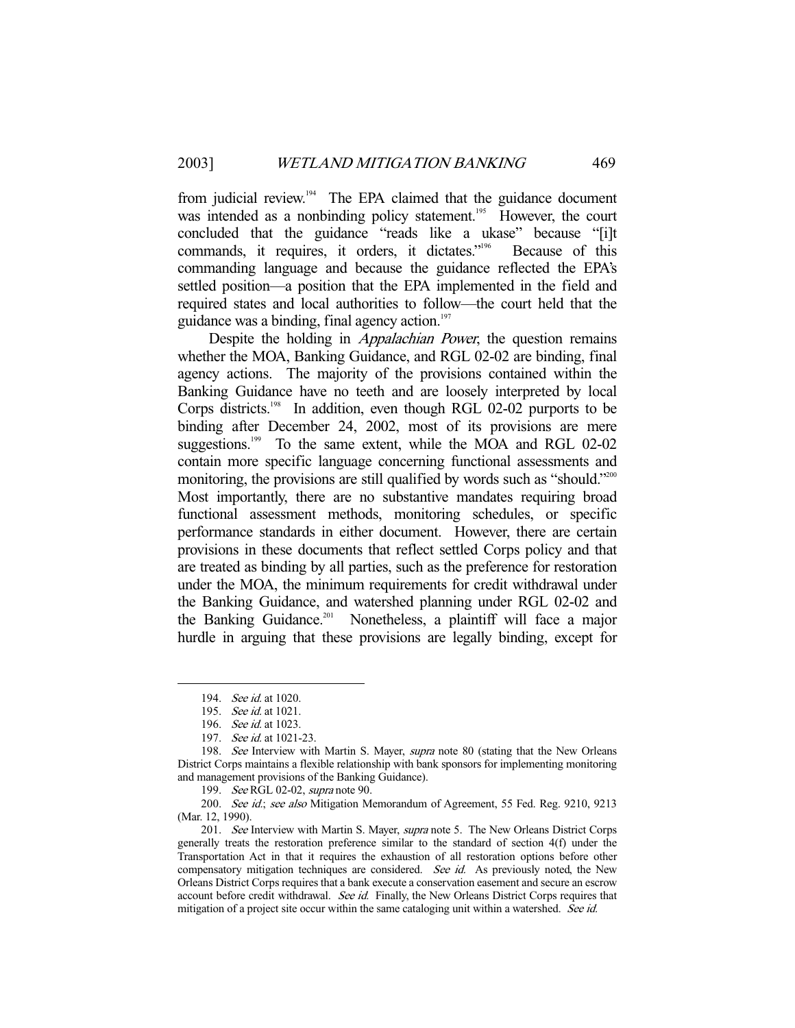from judicial review.<sup>194</sup> The EPA claimed that the guidance document was intended as a nonbinding policy statement.<sup>195</sup> However, the court concluded that the guidance "reads like a ukase" because "[i]t commands, it requires, it orders, it dictates."196 Because of this commanding language and because the guidance reflected the EPA's settled position—a position that the EPA implemented in the field and required states and local authorities to follow—the court held that the guidance was a binding, final agency action. $197$ 

Despite the holding in *Appalachian Power*, the question remains whether the MOA, Banking Guidance, and RGL 02-02 are binding, final agency actions. The majority of the provisions contained within the Banking Guidance have no teeth and are loosely interpreted by local Corps districts.<sup>198</sup> In addition, even though RGL 02-02 purports to be binding after December 24, 2002, most of its provisions are mere suggestions.<sup>199</sup> To the same extent, while the MOA and RGL 02-02 contain more specific language concerning functional assessments and monitoring, the provisions are still qualified by words such as "should."<sup>200</sup> Most importantly, there are no substantive mandates requiring broad functional assessment methods, monitoring schedules, or specific performance standards in either document. However, there are certain provisions in these documents that reflect settled Corps policy and that are treated as binding by all parties, such as the preference for restoration under the MOA, the minimum requirements for credit withdrawal under the Banking Guidance, and watershed planning under RGL 02-02 and the Banking Guidance.<sup>201</sup> Nonetheless, a plaintiff will face a major hurdle in arguing that these provisions are legally binding, except for

<sup>194.</sup> See id. at 1020.

<sup>195.</sup> *See id.* at 1021.

<sup>196.</sup> See id. at 1023.

<sup>197.</sup> *See id.* at 1021-23.

<sup>198.</sup> See Interview with Martin S. Mayer, supra note 80 (stating that the New Orleans District Corps maintains a flexible relationship with bank sponsors for implementing monitoring and management provisions of the Banking Guidance).

<sup>199.</sup> See RGL 02-02, supra note 90.

<sup>200.</sup> See id.; see also Mitigation Memorandum of Agreement, 55 Fed. Reg. 9210, 9213 (Mar. 12, 1990).

<sup>201.</sup> See Interview with Martin S. Mayer, supra note 5. The New Orleans District Corps generally treats the restoration preference similar to the standard of section 4(f) under the Transportation Act in that it requires the exhaustion of all restoration options before other compensatory mitigation techniques are considered. See id. As previously noted, the New Orleans District Corps requires that a bank execute a conservation easement and secure an escrow account before credit withdrawal. See id. Finally, the New Orleans District Corps requires that mitigation of a project site occur within the same cataloging unit within a watershed. See id.